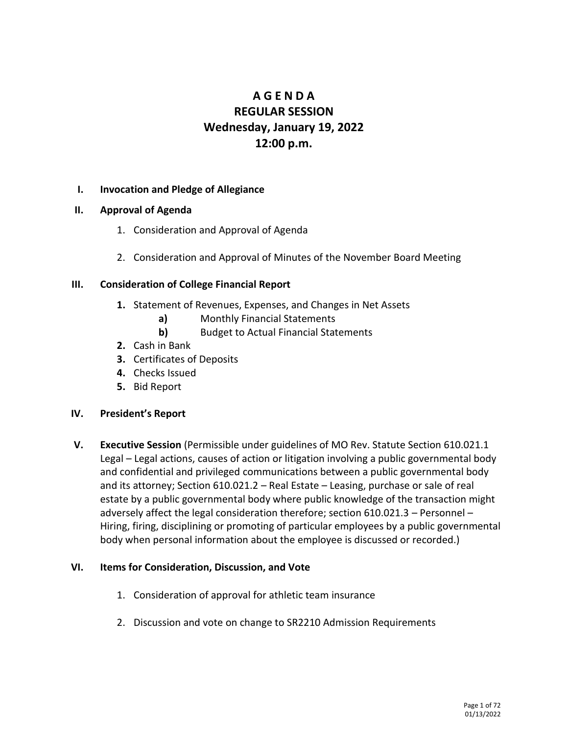# **A G E N D A REGULAR SESSION Wednesday, January 19, 2022 12:00 p.m.**

### **I. Invocation and Pledge of Allegiance**

- **II. Approval of Agenda**
	- 1. Consideration and Approval of Agenda
	- 2. Consideration and Approval of Minutes of the November Board Meeting

### **III. Consideration of College Financial Report**

- **1.** Statement of Revenues, Expenses, and Changes in Net Assets
	- **a)** Monthly Financial Statements
	- **b)** Budget to Actual Financial Statements
- **2.** Cash in Bank
- **3.** Certificates of Deposits
- **4.** Checks Issued
- **5.** Bid Report

### **IV. President's Report**

**V. Executive Session** (Permissible under guidelines of MO Rev. Statute Section 610.021.1 Legal – Legal actions, causes of action or litigation involving a public governmental body and confidential and privileged communications between a public governmental body and its attorney; Section 610.021.2 – Real Estate – Leasing, purchase or sale of real estate by a public governmental body where public knowledge of the transaction might adversely affect the legal consideration therefore; section 610.021.3 – Personnel – Hiring, firing, disciplining or promoting of particular employees by a public governmental body when personal information about the employee is discussed or recorded.)

### **VI. Items for Consideration, Discussion, and Vote**

- 1. Consideration of approval for athletic team insurance
- 2. Discussion and vote on change to SR2210 Admission Requirements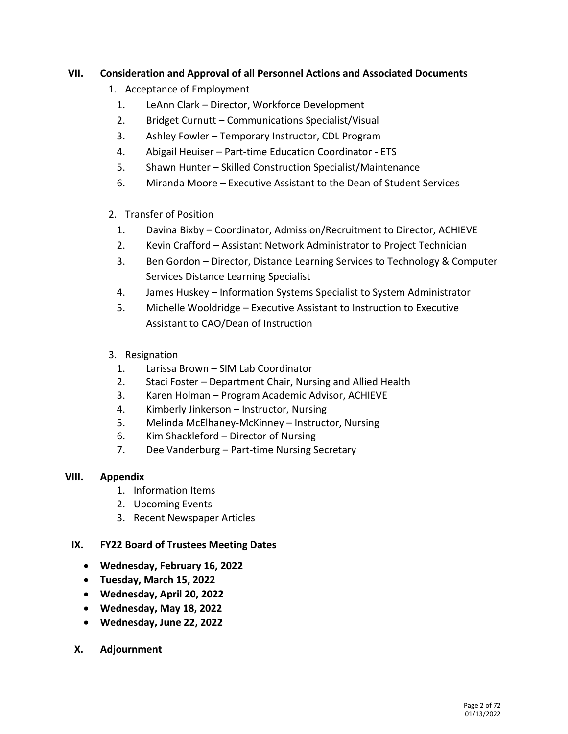## **VII. Consideration and Approval of all Personnel Actions and Associated Documents**

- 1. Acceptance of Employment
	- 1. LeAnn Clark Director, Workforce Development
	- 2. Bridget Curnutt Communications Specialist/Visual
	- 3. Ashley Fowler Temporary Instructor, CDL Program
	- 4. Abigail Heuiser Part-time Education Coordinator ETS
	- 5. Shawn Hunter Skilled Construction Specialist/Maintenance
	- 6. Miranda Moore Executive Assistant to the Dean of Student Services
- 2. Transfer of Position
	- 1. Davina Bixby Coordinator, Admission/Recruitment to Director, ACHIEVE
	- 2. Kevin Crafford Assistant Network Administrator to Project Technician
	- 3. Ben Gordon Director, Distance Learning Services to Technology & Computer Services Distance Learning Specialist
	- 4. James Huskey Information Systems Specialist to System Administrator
	- 5. Michelle Wooldridge Executive Assistant to Instruction to Executive Assistant to CAO/Dean of Instruction
- 3. Resignation
	- 1. Larissa Brown SIM Lab Coordinator
	- 2. Staci Foster Department Chair, Nursing and Allied Health
	- 3. Karen Holman Program Academic Advisor, ACHIEVE
	- 4. Kimberly Jinkerson Instructor, Nursing
	- 5. Melinda McElhaney-McKinney Instructor, Nursing
	- 6. Kim Shackleford Director of Nursing
	- 7. Dee Vanderburg Part-time Nursing Secretary

## **VIII. Appendix**

- 1. Information Items
- 2. Upcoming Events
- 3. Recent Newspaper Articles

## **IX. FY22 Board of Trustees Meeting Dates**

- **Wednesday, February 16, 2022**
- **Tuesday, March 15, 2022**
- **Wednesday, April 20, 2022**
- **Wednesday, May 18, 2022**
- **Wednesday, June 22, 2022**
- **X. Adjournment**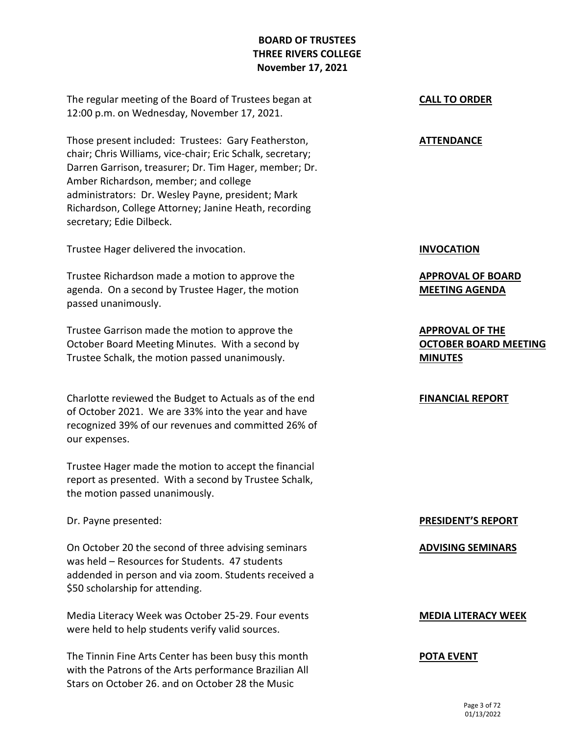# **BOARD OF TRUSTEES THREE RIVERS COLLEGE November 17, 2021**

The regular meeting of the Board of Trustees began at 12:00 p.m. on Wednesday, November 17, 2021.

Those present included: Trustees: Gary Featherston, chair; Chris Williams, vice-chair; Eric Schalk, secretary; Darren Garrison, treasurer; Dr. Tim Hager, member; Dr. Amber Richardson, member; and college administrators: Dr. Wesley Payne, president; Mark Richardson, College Attorney; Janine Heath, recording secretary; Edie Dilbeck.

Trustee Hager delivered the invocation.

Trustee Richardson made a motion to approve the agenda. On a second by Trustee Hager, the motion passed unanimously.

Trustee Garrison made the motion to approve the October Board Meeting Minutes. With a second by Trustee Schalk, the motion passed unanimously.

Charlotte reviewed the Budget to Actuals as of the end of October 2021. We are 33% into the year and have recognized 39% of our revenues and committed 26% of our expenses.

Trustee Hager made the motion to accept the financial report as presented. With a second by Trustee Schalk, the motion passed unanimously.

Dr. Payne presented:

On October 20 the second of three advising seminars was held – Resources for Students. 47 students addended in person and via zoom. Students received a \$50 scholarship for attending.

Media Literacy Week was October 25-29. Four events were held to help students verify valid sources.

The Tinnin Fine Arts Center has been busy this month with the Patrons of the Arts performance Brazilian All Stars on October 26. and on October 28 the Music

### **CALL TO ORDER**

### **ATTENDANCE**

**INVOCATION**

**APPROVAL OF BOARD MEETING AGENDA**

**APPROVAL OF THE OCTOBER BOARD MEETING MINUTES**

### **FINANCIAL REPORT**

### **PRESIDENT'S REPORT**

### **ADVISING SEMINARS**

### **MEDIA LITERACY WEEK**

### **POTA EVENT**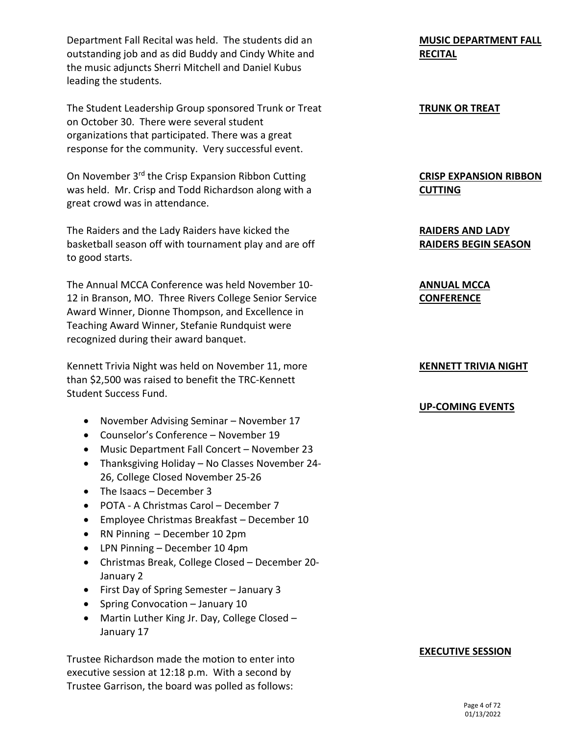Department Fall Recital was held. The students did an outstanding job and as did Buddy and Cindy White and the music adjuncts Sherri Mitchell and Daniel Kubus leading the students.

The Student Leadership Group sponsored Trunk or Treat on October 30. There were several student organizations that participated. There was a great response for the community. Very successful event.

On November 3rd the Crisp Expansion Ribbon Cutting was held. Mr. Crisp and Todd Richardson along with a great crowd was in attendance.

The Raiders and the Lady Raiders have kicked the basketball season off with tournament play and are off to good starts.

The Annual MCCA Conference was held November 10- 12 in Branson, MO. Three Rivers College Senior Service Award Winner, Dionne Thompson, and Excellence in Teaching Award Winner, Stefanie Rundquist were recognized during their award banquet.

Kennett Trivia Night was held on November 11, more than \$2,500 was raised to benefit the TRC-Kennett Student Success Fund.

- November Advising Seminar November 17
- Counselor's Conference November 19
- Music Department Fall Concert November 23
- Thanksgiving Holiday No Classes November 24- 26, College Closed November 25-26
- The Isaacs December 3
- POTA A Christmas Carol December 7
- Employee Christmas Breakfast December 10
- RN Pinning December 10 2pm
- LPN Pinning December 10 4pm
- Christmas Break, College Closed December 20- January 2
- First Day of Spring Semester January 3
- Spring Convocation January 10
- Martin Luther King Jr. Day, College Closed January 17

Trustee Richardson made the motion to enter into executive session at 12:18 p.m. With a second by Trustee Garrison, the board was polled as follows:

# **MUSIC DEPARTMENT FALL RECITAL**

### **TRUNK OR TREAT**

# **CRISP EXPANSION RIBBON CUTTING**

**RAIDERS AND LADY RAIDERS BEGIN SEASON**

**ANNUAL MCCA CONFERENCE**

# **KENNETT TRIVIA NIGHT**

## **UP-COMING EVENTS**

### **EXECUTIVE SESSION**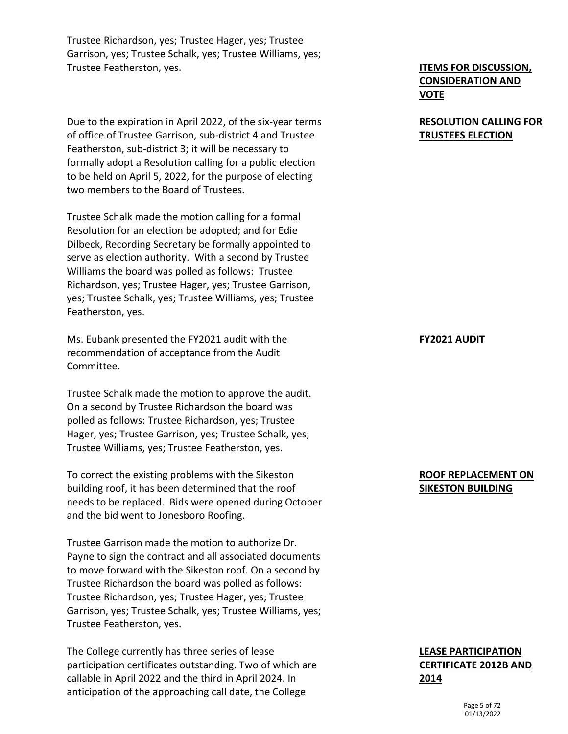Trustee Richardson, yes; Trustee Hager, yes; Trustee Garrison, yes; Trustee Schalk, yes; Trustee Williams, yes; Trustee Featherston, yes.

Due to the expiration in April 2022, of the six-year terms of office of Trustee Garrison, sub-district 4 and Trustee Featherston, sub-district 3; it will be necessary to formally adopt a Resolution calling for a public election to be held on April 5, 2022, for the purpose of electing two members to the Board of Trustees.

Trustee Schalk made the motion calling for a formal Resolution for an election be adopted; and for Edie Dilbeck, Recording Secretary be formally appointed to serve as election authority. With a second by Trustee Williams the board was polled as follows: Trustee Richardson, yes; Trustee Hager, yes; Trustee Garrison, yes; Trustee Schalk, yes; Trustee Williams, yes; Trustee Featherston, yes.

Ms. Eubank presented the FY2021 audit with the recommendation of acceptance from the Audit Committee.

Trustee Schalk made the motion to approve the audit. On a second by Trustee Richardson the board was polled as follows: Trustee Richardson, yes; Trustee Hager, yes; Trustee Garrison, yes; Trustee Schalk, yes; Trustee Williams, yes; Trustee Featherston, yes.

To correct the existing problems with the Sikeston building roof, it has been determined that the roof needs to be replaced. Bids were opened during October and the bid went to Jonesboro Roofing.

Trustee Garrison made the motion to authorize Dr. Payne to sign the contract and all associated documents to move forward with the Sikeston roof. On a second by Trustee Richardson the board was polled as follows: Trustee Richardson, yes; Trustee Hager, yes; Trustee Garrison, yes; Trustee Schalk, yes; Trustee Williams, yes; Trustee Featherston, yes.

The College currently has three series of lease participation certificates outstanding. Two of which are callable in April 2022 and the third in April 2024. In anticipation of the approaching call date, the College

# **ITEMS FOR DISCUSSION, CONSIDERATION AND VOTE**

# **RESOLUTION CALLING FOR TRUSTEES ELECTION**

### **FY2021 AUDIT**

## **ROOF REPLACEMENT ON SIKESTON BUILDING**

# **LEASE PARTICIPATION CERTIFICATE 2012B AND 2014**

Page 5 of 72 01/13/2022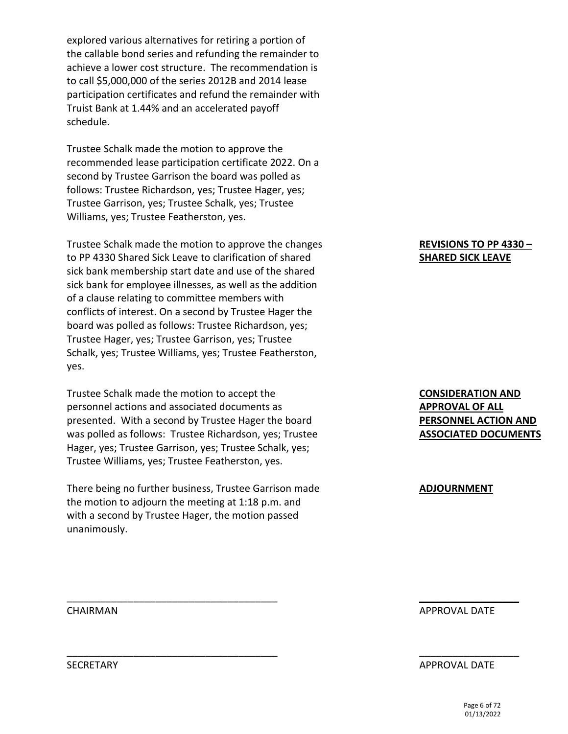explored various alternatives for retiring a portion of the callable bond series and refunding the remainder to achieve a lower cost structure. The recommendation is to call \$5,000,000 of the series 2012B and 2014 lease participation certificates and refund the remainder with Truist Bank at 1.44% and an accelerated payoff schedule.

Trustee Schalk made the motion to approve the recommended lease participation certificate 2022. On a second by Trustee Garrison the board was polled as follows: Trustee Richardson, yes; Trustee Hager, yes; Trustee Garrison, yes; Trustee Schalk, yes; Trustee Williams, yes; Trustee Featherston, yes.

Trustee Schalk made the motion to approve the changes to PP 4330 Shared Sick Leave to clarification of shared sick bank membership start date and use of the shared sick bank for employee illnesses, as well as the addition of a clause relating to committee members with conflicts of interest. On a second by Trustee Hager the board was polled as follows: Trustee Richardson, yes; Trustee Hager, yes; Trustee Garrison, yes; Trustee Schalk, yes; Trustee Williams, yes; Trustee Featherston, yes.

Trustee Schalk made the motion to accept the personnel actions and associated documents as presented. With a second by Trustee Hager the board was polled as follows: Trustee Richardson, yes; Trustee Hager, yes; Trustee Garrison, yes; Trustee Schalk, yes; Trustee Williams, yes; Trustee Featherston, yes.

There being no further business, Trustee Garrison made the motion to adjourn the meeting at 1:18 p.m. and with a second by Trustee Hager, the motion passed unanimously.

\_\_\_\_\_\_\_\_\_\_\_\_\_\_\_\_\_\_\_\_\_\_\_\_\_\_\_\_\_\_\_\_\_\_\_\_\_\_

\_\_\_\_\_\_\_\_\_\_\_\_\_\_\_\_\_\_\_\_\_\_\_\_\_\_\_\_\_\_\_\_\_\_\_\_\_\_

### **REVISIONS TO PP 4330 – SHARED SICK LEAVE**

## **CONSIDERATION AND APPROVAL OF ALL PERSONNEL ACTION AND ASSOCIATED DOCUMENTS**

### **ADJOURNMENT**

APPROVAL DATE

 $\mathcal{L}_\text{max}$  , where  $\mathcal{L}_\text{max}$ 

\_\_\_\_\_\_\_\_\_\_\_\_\_\_\_\_\_\_

### APPROVAL DATE

Page 6 of 72 01/13/2022

CHAIRMAN

**SECRETARY**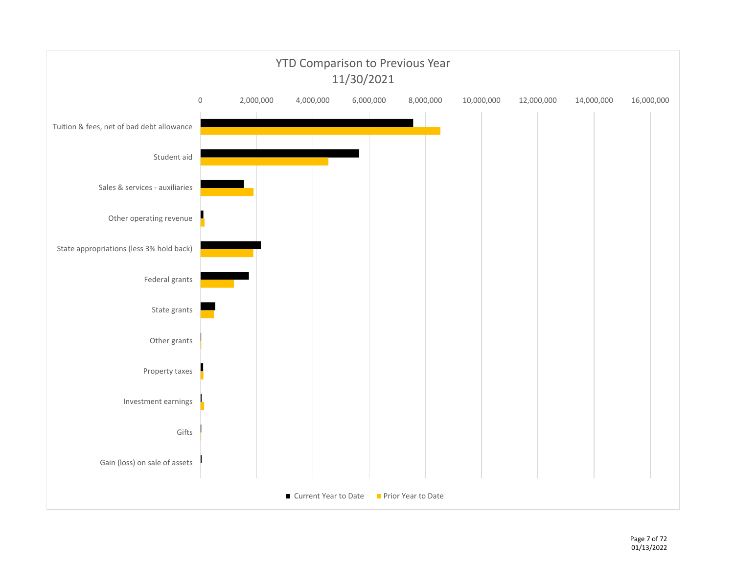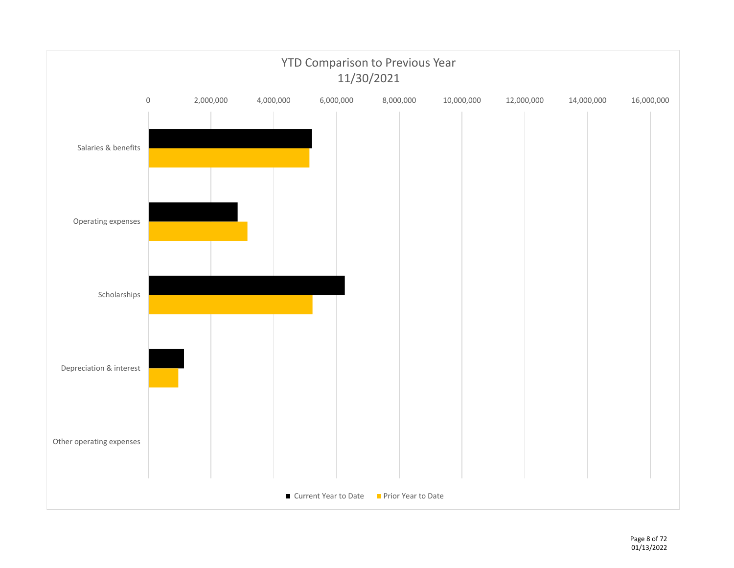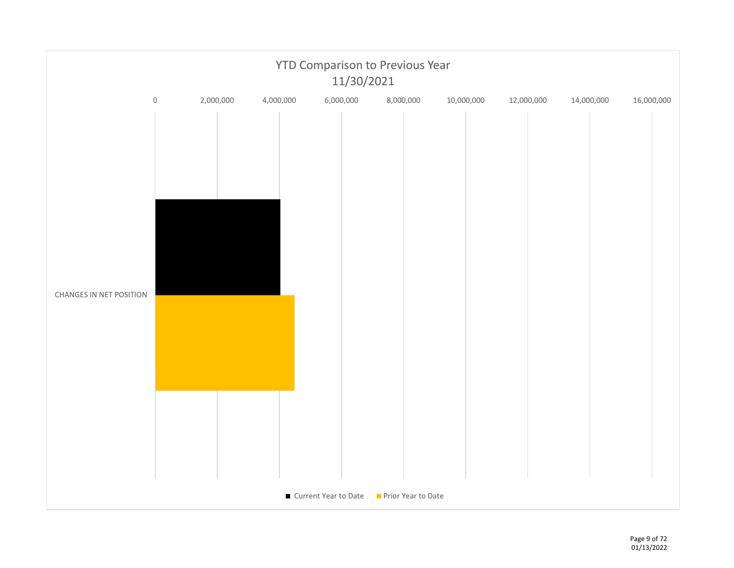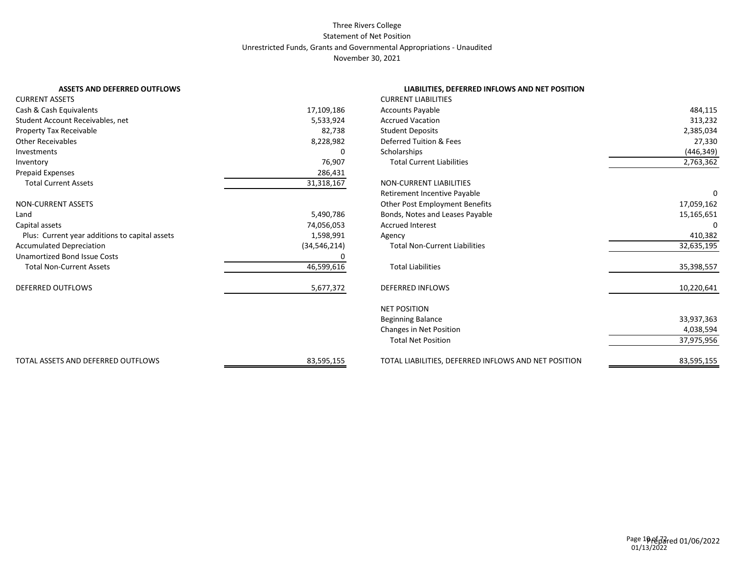#### Three Rivers College Statement of Net Position Unrestricted Funds, Grants and Governmental Appropriations - Unaudited November 30, 2021

|        | LIABILITIES, DEFERRED INFLOWS AND NET POSITION                                                                                                                                       |                                                                                                                                                                                                                                                                                                                                                                                                                                                                                                                                                                                                                                |
|--------|--------------------------------------------------------------------------------------------------------------------------------------------------------------------------------------|--------------------------------------------------------------------------------------------------------------------------------------------------------------------------------------------------------------------------------------------------------------------------------------------------------------------------------------------------------------------------------------------------------------------------------------------------------------------------------------------------------------------------------------------------------------------------------------------------------------------------------|
|        |                                                                                                                                                                                      |                                                                                                                                                                                                                                                                                                                                                                                                                                                                                                                                                                                                                                |
|        |                                                                                                                                                                                      | 484,115                                                                                                                                                                                                                                                                                                                                                                                                                                                                                                                                                                                                                        |
|        |                                                                                                                                                                                      | 313,232                                                                                                                                                                                                                                                                                                                                                                                                                                                                                                                                                                                                                        |
|        |                                                                                                                                                                                      | 2,385,034                                                                                                                                                                                                                                                                                                                                                                                                                                                                                                                                                                                                                      |
|        |                                                                                                                                                                                      | 27,330                                                                                                                                                                                                                                                                                                                                                                                                                                                                                                                                                                                                                         |
| 0      |                                                                                                                                                                                      | (446, 349)                                                                                                                                                                                                                                                                                                                                                                                                                                                                                                                                                                                                                     |
|        |                                                                                                                                                                                      | 2,763,362                                                                                                                                                                                                                                                                                                                                                                                                                                                                                                                                                                                                                      |
|        |                                                                                                                                                                                      |                                                                                                                                                                                                                                                                                                                                                                                                                                                                                                                                                                                                                                |
|        |                                                                                                                                                                                      |                                                                                                                                                                                                                                                                                                                                                                                                                                                                                                                                                                                                                                |
|        |                                                                                                                                                                                      |                                                                                                                                                                                                                                                                                                                                                                                                                                                                                                                                                                                                                                |
|        |                                                                                                                                                                                      | 17,059,162                                                                                                                                                                                                                                                                                                                                                                                                                                                                                                                                                                                                                     |
|        |                                                                                                                                                                                      | 15,165,651                                                                                                                                                                                                                                                                                                                                                                                                                                                                                                                                                                                                                     |
|        |                                                                                                                                                                                      |                                                                                                                                                                                                                                                                                                                                                                                                                                                                                                                                                                                                                                |
| Agency |                                                                                                                                                                                      | 410,382                                                                                                                                                                                                                                                                                                                                                                                                                                                                                                                                                                                                                        |
|        |                                                                                                                                                                                      | 32,635,195                                                                                                                                                                                                                                                                                                                                                                                                                                                                                                                                                                                                                     |
|        |                                                                                                                                                                                      |                                                                                                                                                                                                                                                                                                                                                                                                                                                                                                                                                                                                                                |
|        |                                                                                                                                                                                      | 35,398,557                                                                                                                                                                                                                                                                                                                                                                                                                                                                                                                                                                                                                     |
|        |                                                                                                                                                                                      | 10,220,641                                                                                                                                                                                                                                                                                                                                                                                                                                                                                                                                                                                                                     |
|        |                                                                                                                                                                                      |                                                                                                                                                                                                                                                                                                                                                                                                                                                                                                                                                                                                                                |
|        |                                                                                                                                                                                      | 33,937,363                                                                                                                                                                                                                                                                                                                                                                                                                                                                                                                                                                                                                     |
|        |                                                                                                                                                                                      | 4,038,594                                                                                                                                                                                                                                                                                                                                                                                                                                                                                                                                                                                                                      |
|        |                                                                                                                                                                                      | 37,975,956                                                                                                                                                                                                                                                                                                                                                                                                                                                                                                                                                                                                                     |
|        |                                                                                                                                                                                      | 83,595,155                                                                                                                                                                                                                                                                                                                                                                                                                                                                                                                                                                                                                     |
|        | 17,109,186<br>5,533,924<br>82,738<br>8,228,982<br>76,907<br>286,431<br>31,318,167<br>5,490,786<br>74,056,053<br>1,598,991<br>(34, 546, 214)<br>46,599,616<br>5,677,372<br>83,595,155 | <b>CURRENT LIABILITIES</b><br><b>Accounts Payable</b><br><b>Accrued Vacation</b><br><b>Student Deposits</b><br>Deferred Tuition & Fees<br>Scholarships<br><b>Total Current Liabilities</b><br><b>NON-CURRENT LIABILITIES</b><br>Retirement Incentive Payable<br>Other Post Employment Benefits<br>Bonds, Notes and Leases Payable<br><b>Accrued Interest</b><br><b>Total Non-Current Liabilities</b><br><b>Total Liabilities</b><br><b>DEFERRED INFLOWS</b><br><b>NET POSITION</b><br><b>Beginning Balance</b><br>Changes in Net Position<br><b>Total Net Position</b><br>TOTAL LIABILITIES, DEFERRED INFLOWS AND NET POSITION |

#### **LIABILITIES, DEFERRED INFLOWS AND NET POSITION**

| <b>CURRENT LIABILITIES</b>                           |            |
|------------------------------------------------------|------------|
| <b>Accounts Payable</b>                              | 484,115    |
| <b>Accrued Vacation</b>                              | 313,232    |
| <b>Student Deposits</b>                              | 2,385,034  |
| Deferred Tuition & Fees                              | 27,330     |
| Scholarships                                         | (446,349)  |
| <b>Total Current Liabilities</b>                     | 2,763,362  |
| <b>NON-CURRENT LIABILITIES</b>                       |            |
| Retirement Incentive Payable                         | 0          |
| Other Post Employment Benefits                       | 17,059,162 |
| Bonds, Notes and Leases Payable                      | 15,165,651 |
| <b>Accrued Interest</b>                              | 0          |
| Agency                                               | 410,382    |
| <b>Total Non-Current Liabilities</b>                 | 32,635,195 |
| <b>Total Liabilities</b>                             | 35,398,557 |
| <b>DEFERRED INFLOWS</b>                              | 10,220,641 |
| <b>NET POSITION</b>                                  |            |
| <b>Beginning Balance</b>                             | 33,937,363 |
| Changes in Net Position                              | 4,038,594  |
| <b>Total Net Position</b>                            | 37,975,956 |
| TOTAL LIABILITIES, DEFERRED INFLOWS AND NET POSITION | 83,595,155 |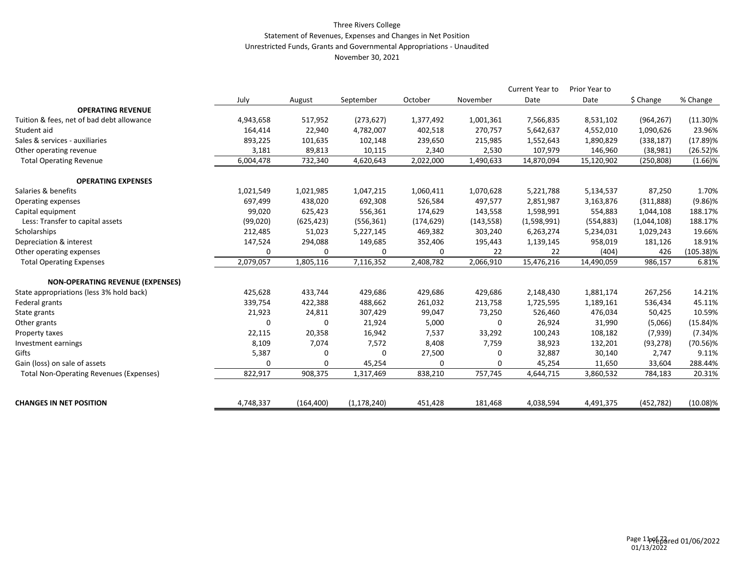#### Three Rivers College Statement of Revenues, Expenses and Changes in Net Position Unrestricted Funds, Grants and Governmental Appropriations - Unaudited November 30, 2021

|                                                |           |             |               |            |            | Current Year to | Prior Year to |             |              |
|------------------------------------------------|-----------|-------------|---------------|------------|------------|-----------------|---------------|-------------|--------------|
|                                                | July      | August      | September     | October    | November   | Date            | Date          | \$ Change   | % Change     |
| <b>OPERATING REVENUE</b>                       |           |             |               |            |            |                 |               |             |              |
| Tuition & fees, net of bad debt allowance      | 4,943,658 | 517,952     | (273, 627)    | 1,377,492  | 1,001,361  | 7,566,835       | 8,531,102     | (964, 267)  | $(11.30)\%$  |
| Student aid                                    | 164,414   | 22,940      | 4,782,007     | 402,518    | 270,757    | 5,642,637       | 4,552,010     | 1,090,626   | 23.96%       |
| Sales & services - auxiliaries                 | 893,225   | 101,635     | 102,148       | 239,650    | 215,985    | 1,552,643       | 1,890,829     | (338, 187)  | $(17.89)\%$  |
| Other operating revenue                        | 3,181     | 89,813      | 10,115        | 2,340      | 2,530      | 107,979         | 146,960       | (38,981)    | $(26.52)\%$  |
| <b>Total Operating Revenue</b>                 | 6,004,478 | 732,340     | 4,620,643     | 2,022,000  | 1,490,633  | 14,870,094      | 15,120,902    | (250, 808)  | $(1.66)\%$   |
| <b>OPERATING EXPENSES</b>                      |           |             |               |            |            |                 |               |             |              |
| Salaries & benefits                            | 1,021,549 | 1,021,985   | 1,047,215     | 1,060,411  | 1,070,628  | 5,221,788       | 5,134,537     | 87,250      | 1.70%        |
| Operating expenses                             | 697,499   | 438,020     | 692,308       | 526,584    | 497,577    | 2,851,987       | 3,163,876     | (311,888)   | $(9.86)\%$   |
| Capital equipment                              | 99,020    | 625,423     | 556,361       | 174,629    | 143,558    | 1,598,991       | 554,883       | 1,044,108   | 188.17%      |
| Less: Transfer to capital assets               | (99,020)  | (625, 423)  | (556, 361)    | (174, 629) | (143, 558) | (1,598,991)     | (554, 883)    | (1,044,108) | 188.17%      |
| Scholarships                                   | 212,485   | 51,023      | 5,227,145     | 469,382    | 303,240    | 6,263,274       | 5,234,031     | 1,029,243   | 19.66%       |
| Depreciation & interest                        | 147,524   | 294,088     | 149,685       | 352,406    | 195,443    | 1,139,145       | 958,019       | 181,126     | 18.91%       |
| Other operating expenses                       | 0         | 0           | 0             | 0          | 22         | 22              | (404)         | 426         | $(105.38)\%$ |
| <b>Total Operating Expenses</b>                | 2,079,057 | 1,805,116   | 7,116,352     | 2,408,782  | 2,066,910  | 15,476,216      | 14,490,059    | 986,157     | 6.81%        |
| <b>NON-OPERATING REVENUE (EXPENSES)</b>        |           |             |               |            |            |                 |               |             |              |
| State appropriations (less 3% hold back)       | 425,628   | 433,744     | 429,686       | 429,686    | 429,686    | 2,148,430       | 1,881,174     | 267,256     | 14.21%       |
| Federal grants                                 | 339,754   | 422,388     | 488,662       | 261,032    | 213,758    | 1,725,595       | 1,189,161     | 536,434     | 45.11%       |
| State grants                                   | 21,923    | 24,811      | 307,429       | 99,047     | 73,250     | 526,460         | 476,034       | 50,425      | 10.59%       |
| Other grants                                   | O         | $\mathbf 0$ | 21,924        | 5,000      | 0          | 26,924          | 31,990        | (5,066)     | $(15.84)\%$  |
| Property taxes                                 | 22,115    | 20,358      | 16,942        | 7,537      | 33,292     | 100,243         | 108,182       | (7,939)     | $(7.34)\%$   |
| Investment earnings                            | 8,109     | 7,074       | 7,572         | 8,408      | 7,759      | 38,923          | 132,201       | (93, 278)   | $(70.56)\%$  |
| Gifts                                          | 5,387     | $\Omega$    | $\Omega$      | 27,500     | 0          | 32,887          | 30,140        | 2,747       | 9.11%        |
| Gain (loss) on sale of assets                  | 0         | $\Omega$    | 45,254        | 0          | $\Omega$   | 45,254          | 11,650        | 33,604      | 288.44%      |
| <b>Total Non-Operating Revenues (Expenses)</b> | 822,917   | 908,375     | 1,317,469     | 838,210    | 757,745    | 4,644,715       | 3,860,532     | 784,183     | 20.31%       |
| <b>CHANGES IN NET POSITION</b>                 | 4,748,337 | (164, 400)  | (1, 178, 240) | 451,428    | 181,468    | 4,038,594       | 4,491,375     | (452, 782)  | $(10.08)\%$  |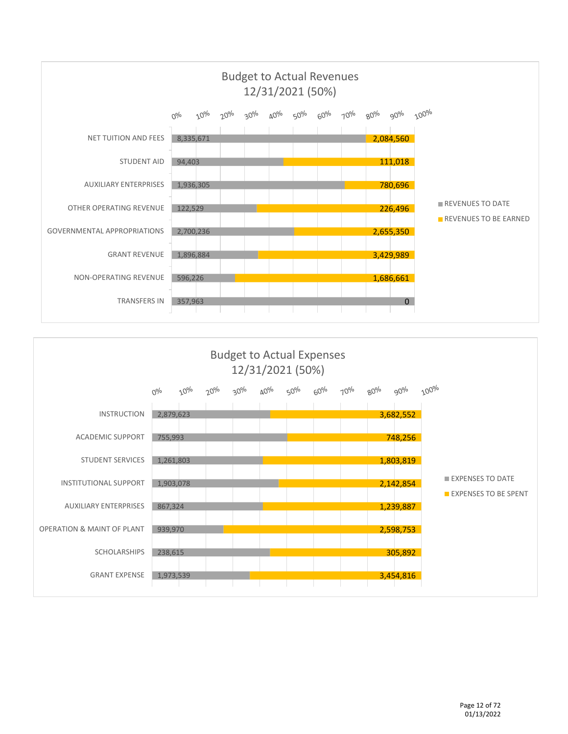

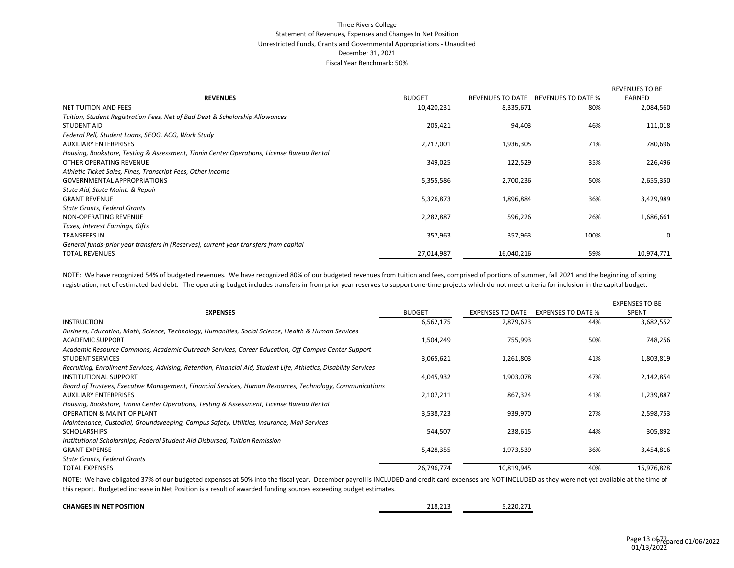#### Three Rivers College Statement of Revenues, Expenses and Changes In Net Position Unrestricted Funds, Grants and Governmental Appropriations - Unaudited December 31, 2021 Fiscal Year Benchmark: 50%

|                                                                                           |               |                         |                    | <b>REVENUES TO BE</b> |
|-------------------------------------------------------------------------------------------|---------------|-------------------------|--------------------|-----------------------|
| <b>REVENUES</b>                                                                           | <b>BUDGET</b> | <b>REVENUES TO DATE</b> | REVENUES TO DATE % | EARNED                |
| <b>NET TUITION AND FEES</b>                                                               | 10,420,231    | 8,335,671               | 80%                | 2,084,560             |
| Tuition, Student Registration Fees, Net of Bad Debt & Scholarship Allowances              |               |                         |                    |                       |
| <b>STUDENT AID</b>                                                                        | 205,421       | 94,403                  | 46%                | 111,018               |
| Federal Pell, Student Loans, SEOG, ACG, Work Study                                        |               |                         |                    |                       |
| <b>AUXILIARY ENTERPRISES</b>                                                              | 2,717,001     | 1,936,305               | 71%                | 780,696               |
| Housing, Bookstore, Testing & Assessment, Tinnin Center Operations, License Bureau Rental |               |                         |                    |                       |
| OTHER OPERATING REVENUE                                                                   | 349,025       | 122,529                 | 35%                | 226,496               |
| Athletic Ticket Sales, Fines, Transcript Fees, Other Income                               |               |                         |                    |                       |
| <b>GOVERNMENTAL APPROPRIATIONS</b>                                                        | 5,355,586     | 2,700,236               | 50%                | 2,655,350             |
| State Aid, State Maint. & Repair                                                          |               |                         |                    |                       |
| <b>GRANT REVENUE</b>                                                                      | 5,326,873     | 1,896,884               | 36%                | 3,429,989             |
| <b>State Grants, Federal Grants</b>                                                       |               |                         |                    |                       |
| NON-OPERATING REVENUE                                                                     | 2,282,887     | 596,226                 | 26%                | 1,686,661             |
| Taxes, Interest Earnings, Gifts                                                           |               |                         |                    |                       |
| <b>TRANSFERS IN</b>                                                                       | 357,963       | 357,963                 | 100%               | 0                     |
| General funds-prior year transfers in (Reserves), current year transfers from capital     |               |                         |                    |                       |
| <b>TOTAL REVENUES</b>                                                                     | 27,014,987    | 16,040,216              | 59%                | 10,974,771            |

NOTE: We have recognized 54% of budgeted revenues. We have recognized 80% of our budgeted revenues from tuition and fees, comprised of portions of summer, fall 2021 and the beginning of spring registration, net of estimated bad debt. The operating budget includes transfers in from prior year reserves to support one-time projects which do not meet criteria for inclusion in the capital budget.

|                                                                                                                   |               |                         |                           | <b>EXPENSES TO BE</b> |
|-------------------------------------------------------------------------------------------------------------------|---------------|-------------------------|---------------------------|-----------------------|
| <b>EXPENSES</b>                                                                                                   | <b>BUDGET</b> | <b>EXPENSES TO DATE</b> | <b>EXPENSES TO DATE %</b> | <b>SPENT</b>          |
| INSTRUCTION                                                                                                       | 6,562,175     | 2,879,623               | 44%                       | 3,682,552             |
| Business, Education, Math, Science, Technology, Humanities, Social Science, Health & Human Services               |               |                         |                           |                       |
| <b>ACADEMIC SUPPORT</b>                                                                                           | 1,504,249     | 755,993                 | 50%                       | 748,256               |
| Academic Resource Commons, Academic Outreach Services, Career Education, Off Campus Center Support                |               |                         |                           |                       |
| <b>STUDENT SERVICES</b>                                                                                           | 3,065,621     | 1,261,803               | 41%                       | 1,803,819             |
| Recruiting, Enrollment Services, Advising, Retention, Financial Aid, Student Life, Athletics, Disability Services |               |                         |                           |                       |
| INSTITUTIONAL SUPPORT                                                                                             | 4,045,932     | 1,903,078               | 47%                       | 2,142,854             |
| Board of Trustees, Executive Management, Financial Services, Human Resources, Technology, Communications          |               |                         |                           |                       |
| <b>AUXILIARY ENTERPRISES</b>                                                                                      | 2,107,211     | 867,324                 | 41%                       | 1,239,887             |
| Housing, Bookstore, Tinnin Center Operations, Testing & Assessment, License Bureau Rental                         |               |                         |                           |                       |
| <b>OPERATION &amp; MAINT OF PLANT</b>                                                                             | 3,538,723     | 939,970                 | 27%                       | 2,598,753             |
| Maintenance, Custodial, Groundskeeping, Campus Safety, Utilities, Insurance, Mail Services                        |               |                         |                           |                       |
| <b>SCHOLARSHIPS</b>                                                                                               | 544,507       | 238,615                 | 44%                       | 305,892               |
| Institutional Scholarships, Federal Student Aid Disbursed, Tuition Remission                                      |               |                         |                           |                       |
| <b>GRANT EXPENSE</b>                                                                                              | 5,428,355     | 1,973,539               | 36%                       | 3,454,816             |
| State Grants, Federal Grants                                                                                      |               |                         |                           |                       |
| <b>TOTAL EXPENSES</b>                                                                                             | 26,796,774    | 10,819,945              | 40%                       | 15,976,828            |

NOTE: We have obligated 37% of our budgeted expenses at 50% into the fiscal year. December payroll is INCLUDED and credit card expenses are NOT INCLUDED as they were not yet available at the time of this report. Budgeted increase in Net Position is a result of awarded funding sources exceeding budget estimates.

| <b>CHANGES IN NET POSITION</b> | ว 10 ว 1 ว<br>210.21J | 5.220.271 |
|--------------------------------|-----------------------|-----------|
|                                |                       |           |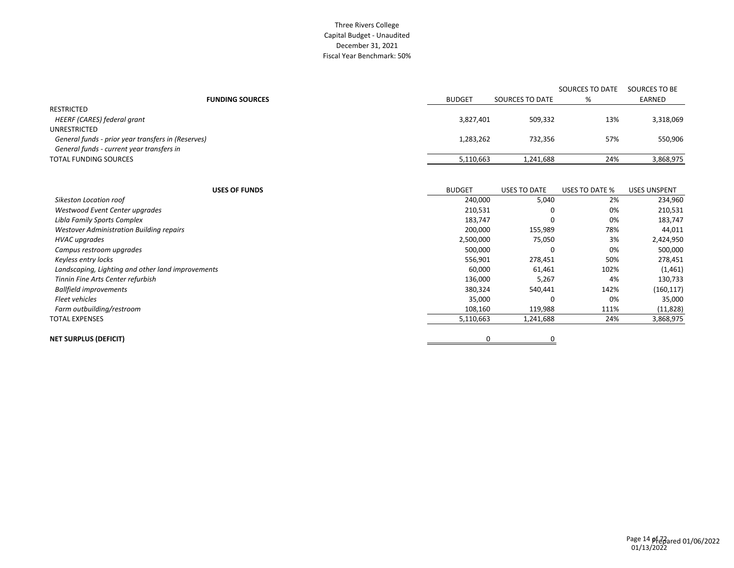#### Three Rivers College Capital Budget - Unaudited December 31, 2021 Fiscal Year Benchmark: 50%

|                                                    |               |                 | SOURCES TO DATE | SOURCES TO BE |
|----------------------------------------------------|---------------|-----------------|-----------------|---------------|
| <b>FUNDING SOURCES</b>                             | <b>BUDGET</b> | SOURCES TO DATE | %               | EARNED        |
| RESTRICTED                                         |               |                 |                 |               |
| HEERF (CARES) federal grant                        | 3,827,401     | 509,332         | 13%             | 3,318,069     |
| UNRESTRICTED                                       |               |                 |                 |               |
| General funds - prior year transfers in (Reserves) | 1,283,262     | 732,356         | 57%             | 550,906       |
| General funds - current year transfers in          |               |                 |                 |               |
| <b>TOTAL FUNDING SOURCES</b>                       | 5,110,663     | 1,241,688       | 24%             | 3,868,975     |

| <b>USES OF FUNDS</b>                              | <b>BUDGET</b> | USES TO DATE | USES TO DATE % | <b>USES UNSPENT</b> |
|---------------------------------------------------|---------------|--------------|----------------|---------------------|
| Sikeston Location roof                            | 240,000       | 5,040        | 2%             | 234,960             |
| Westwood Event Center upgrades                    | 210,531       | 0            | 0%             | 210,531             |
| Libla Family Sports Complex                       | 183,747       |              | 0%             | 183,747             |
| <b>Westover Administration Building repairs</b>   | 200,000       | 155,989      | 78%            | 44,011              |
| <b>HVAC</b> upgrades                              | 2,500,000     | 75,050       | 3%             | 2,424,950           |
| Campus restroom upgrades                          | 500,000       |              | 0%             | 500,000             |
| Keyless entry locks                               | 556,901       | 278,451      | 50%            | 278,451             |
| Landscaping, Lighting and other land improvements | 60,000        | 61,461       | 102%           | (1,461)             |
| Tinnin Fine Arts Center refurbish                 | 136,000       | 5,267        | 4%             | 130,733             |
| <b>Ballfield improvements</b>                     | 380,324       | 540,441      | 142%           | (160, 117)          |
| <b>Fleet vehicles</b>                             | 35,000        |              | 0%             | 35,000              |
| Farm outbuilding/restroom                         | 108,160       | 119,988      | 111%           | (11, 828)           |
| TOTAL EXPENSES                                    | 5,110,663     | 1,241,688    | 24%            | 3,868,975           |
| NET SURPLUS (DEFICIT)                             | 0             | 0            |                |                     |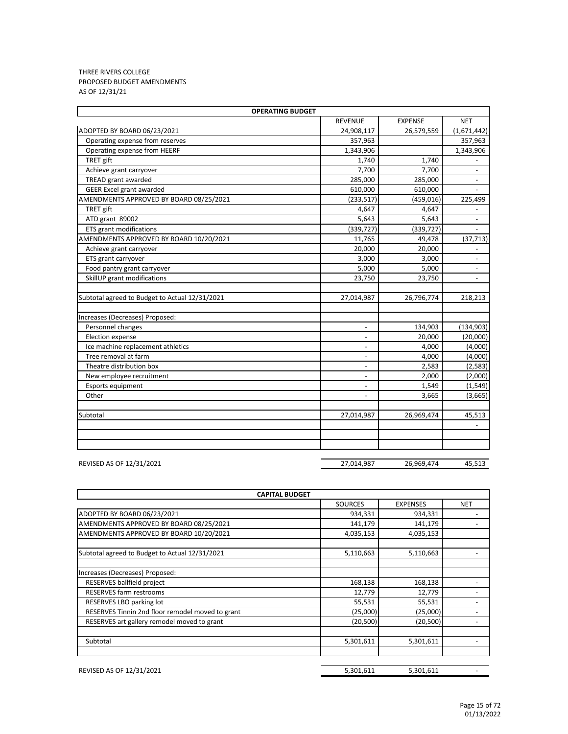#### THREE RIVERS COLLEGE PROPOSED BUDGET AMENDMENTS AS OF 12/31/21

| <b>OPERATING BUDGET</b>                        |                          |                |                          |  |  |
|------------------------------------------------|--------------------------|----------------|--------------------------|--|--|
|                                                | <b>REVENUE</b>           | <b>EXPENSE</b> | <b>NET</b>               |  |  |
| ADOPTED BY BOARD 06/23/2021                    | 24,908,117               | 26,579,559     | (1,671,442)              |  |  |
| Operating expense from reserves                | 357,963                  |                | 357,963                  |  |  |
| Operating expense from HEERF                   | 1,343,906                |                | 1,343,906                |  |  |
| TRET gift                                      | 1,740                    | 1,740          |                          |  |  |
| Achieve grant carryover                        | 7,700                    | 7,700          | ÷,                       |  |  |
| TREAD grant awarded                            | 285,000                  | 285,000        |                          |  |  |
| <b>GEER Excel grant awarded</b>                | 610,000                  | 610,000        |                          |  |  |
| AMENDMENTS APPROVED BY BOARD 08/25/2021        | (233, 517)               | (459, 016)     | 225,499                  |  |  |
| TRET gift                                      | 4,647                    | 4,647          | $\overline{\phantom{a}}$ |  |  |
| ATD grant 89002                                | 5,643                    | 5,643          | ÷,                       |  |  |
| <b>ETS</b> grant modifications                 | (339, 727)               | (339, 727)     |                          |  |  |
| AMENDMENTS APPROVED BY BOARD 10/20/2021        | 11,765                   | 49,478         | (37, 713)                |  |  |
| Achieve grant carryover                        | 20,000                   | 20,000         |                          |  |  |
| ETS grant carryover                            | 3,000                    | 3,000          | $\overline{\phantom{a}}$ |  |  |
| Food pantry grant carryover                    | 5,000                    | 5,000          |                          |  |  |
| SkillUP grant modifications                    | 23,750                   | 23,750         |                          |  |  |
|                                                |                          |                |                          |  |  |
| Subtotal agreed to Budget to Actual 12/31/2021 | 27,014,987               | 26,796,774     | 218,213                  |  |  |
|                                                |                          |                |                          |  |  |
| Increases (Decreases) Proposed:                |                          |                |                          |  |  |
| Personnel changes                              |                          | 134,903        | (134, 903)               |  |  |
| Election expense                               |                          | 20,000         | (20,000)                 |  |  |
| Ice machine replacement athletics              | $\overline{\phantom{a}}$ | 4,000          | (4,000)                  |  |  |
| Tree removal at farm                           | $\overline{\phantom{a}}$ | 4,000          | (4,000)                  |  |  |
| Theatre distribution box                       | $\overline{a}$           | 2,583          | (2, 583)                 |  |  |
| New employee recruitment                       | $\overline{\phantom{a}}$ | 2,000          | (2,000)                  |  |  |
| Esports equipment                              | $\overline{\phantom{0}}$ | 1,549          | (1, 549)                 |  |  |
| Other                                          | $\overline{\phantom{a}}$ | 3,665          | (3,665)                  |  |  |
|                                                |                          |                |                          |  |  |
| Subtotal                                       | 27,014,987               | 26,969,474     | 45,513                   |  |  |
|                                                |                          |                |                          |  |  |
|                                                |                          |                |                          |  |  |
|                                                |                          |                |                          |  |  |

REVISED AS OF 12/31/2021 27,014,987 26,969,474 45,513

SOURCES EXPENSES NET ADOPTED BY BOARD 06/23/2021 2000 12:00 12:00 12:00 13:00 13:00 13:00 13:00 13:00 14:00 14:00 14:00 14:00 14:00 AMENDMENTS APPROVED BY BOARD 08/25/2021 141,179 141,179 141,179 AMENDMENTS APPROVED BY BOARD 10/20/2021 1990 120 120 2005,153 4,035,153 Subtotal agreed to Budget to Actual 12/31/2021 5,110,663 5,110,663 Increases (Decreases) Proposed: RESERVES ballfield project 168,138 168,138 168,138 RESERVES farm restrooms and the set of the set of the set of the set of the set of the set of the set of the set of the set of the set of the set of the set of the set of the set of the set of the set of the set of the set RESERVES LBO parking lot 55,531 55,531 - RESERVES Tinnin 2nd floor remodel moved to grant (25,000) (25,000) (25,000) (25,000) RESERVES art gallery remodel moved to grant (20,500) (20,500) (20,500) (20,500) Subtotal 5,301,611 5,301,611 - **CAPITAL BUDGET**

REVISED AS OF 12/31/2021 6.301,611 5,301,611 5,301,611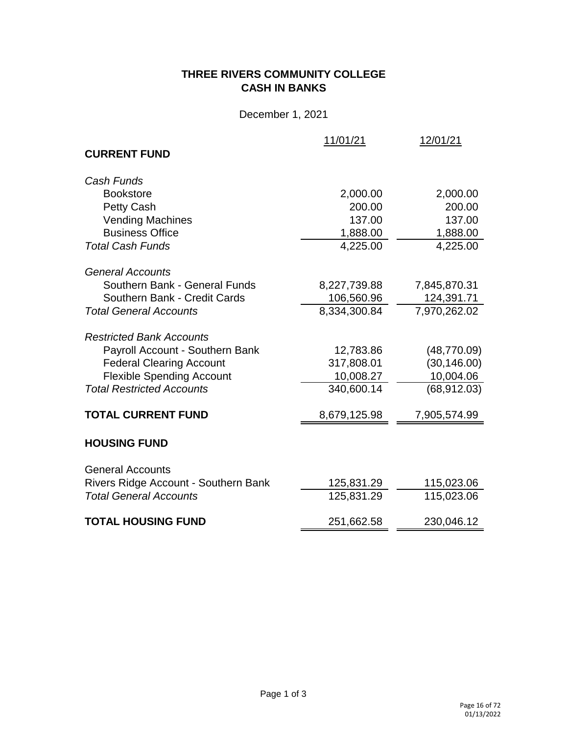# **THREE RIVERS COMMUNITY COLLEGE CASH IN BANKS**

December 1, 2021

|                                      | 11/01/21     | 12/01/21     |
|--------------------------------------|--------------|--------------|
| <b>CURRENT FUND</b>                  |              |              |
| Cash Funds                           |              |              |
| <b>Bookstore</b>                     | 2,000.00     | 2,000.00     |
| Petty Cash                           | 200.00       | 200.00       |
| <b>Vending Machines</b>              | 137.00       | 137.00       |
| <b>Business Office</b>               | 1,888.00     | 1,888.00     |
| <b>Total Cash Funds</b>              | 4,225.00     | 4,225.00     |
| <b>General Accounts</b>              |              |              |
| Southern Bank - General Funds        | 8,227,739.88 | 7,845,870.31 |
| Southern Bank - Credit Cards         | 106,560.96   | 124,391.71   |
| <b>Total General Accounts</b>        | 8,334,300.84 | 7,970,262.02 |
| <b>Restricted Bank Accounts</b>      |              |              |
| Payroll Account - Southern Bank      | 12,783.86    | (48, 770.09) |
| <b>Federal Clearing Account</b>      | 317,808.01   | (30, 146.00) |
| <b>Flexible Spending Account</b>     | 10,008.27    | 10,004.06    |
| <b>Total Restricted Accounts</b>     | 340,600.14   | (68, 912.03) |
| <b>TOTAL CURRENT FUND</b>            | 8,679,125.98 | 7,905,574.99 |
| <b>HOUSING FUND</b>                  |              |              |
| <b>General Accounts</b>              |              |              |
| Rivers Ridge Account - Southern Bank | 125,831.29   | 115,023.06   |
| <b>Total General Accounts</b>        | 125,831.29   | 115,023.06   |
| <b>TOTAL HOUSING FUND</b>            | 251,662.58   | 230,046.12   |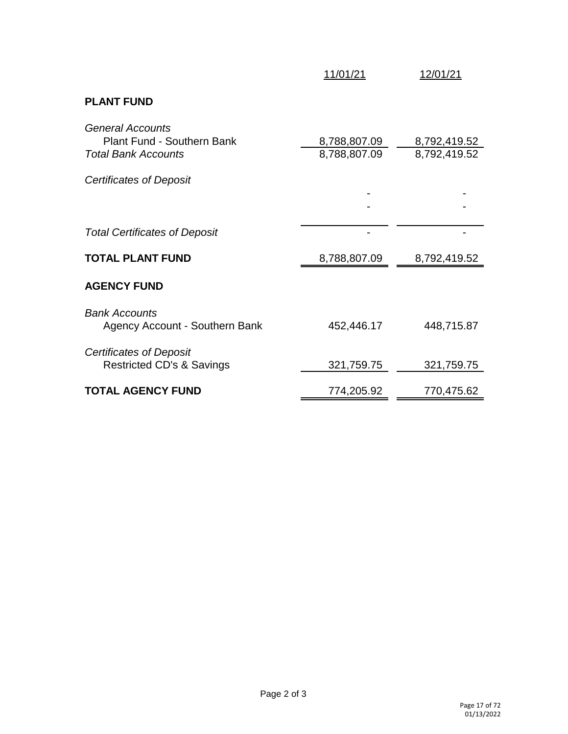|                                                                                            | 11/01/21                     | 12/01/21                     |
|--------------------------------------------------------------------------------------------|------------------------------|------------------------------|
| <b>PLANT FUND</b>                                                                          |                              |                              |
| <b>General Accounts</b><br><b>Plant Fund - Southern Bank</b><br><b>Total Bank Accounts</b> | 8,788,807.09<br>8,788,807.09 | 8,792,419.52<br>8,792,419.52 |
| Certificates of Deposit                                                                    |                              |                              |
|                                                                                            |                              |                              |
| <b>Total Certificates of Deposit</b>                                                       |                              |                              |
| <b>TOTAL PLANT FUND</b>                                                                    | 8,788,807.09                 | 8,792,419.52                 |
| <b>AGENCY FUND</b>                                                                         |                              |                              |
| <b>Bank Accounts</b><br>Agency Account - Southern Bank                                     | 452,446.17                   | 448,715.87                   |
| Certificates of Deposit<br><b>Restricted CD's &amp; Savings</b>                            | 321,759.75                   | 321,759.75                   |
| <b>TOTAL AGENCY FUND</b>                                                                   | 774,205.92                   | 770,475.62                   |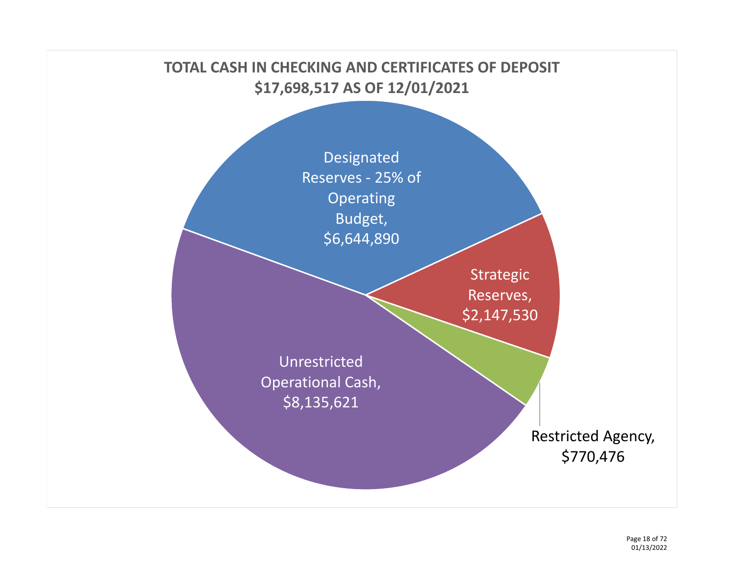# **TOTAL CASH IN CHECKING AND CERTIFICATES OF DEPOSIT \$17,698,517 AS OF 12/01/2021**

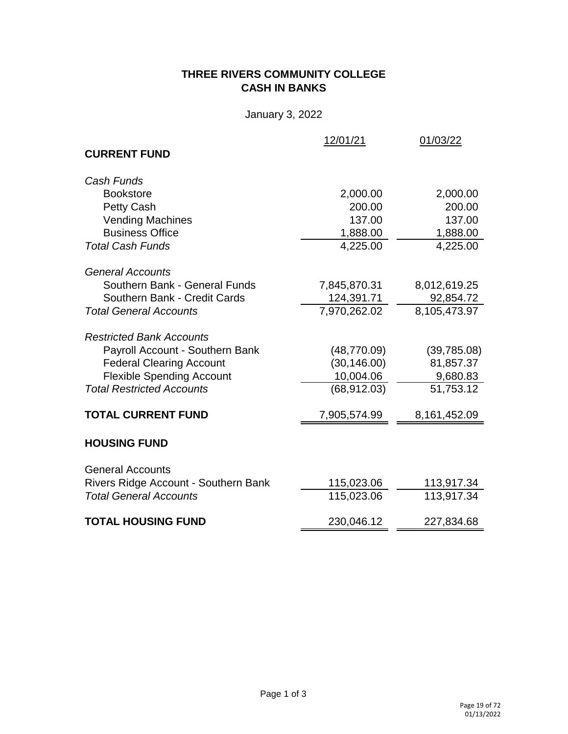# **THREE RIVERS COMMUNITY COLLEGE CASH IN BANKS**

January 3, 2022

|                                      | 12/01/21     | 01/03/22     |
|--------------------------------------|--------------|--------------|
| <b>CURRENT FUND</b>                  |              |              |
| Cash Funds                           |              |              |
| <b>Bookstore</b>                     | 2,000.00     | 2,000.00     |
| Petty Cash                           | 200.00       | 200.00       |
| <b>Vending Machines</b>              | 137.00       | 137.00       |
| <b>Business Office</b>               | 1,888.00     | 1,888.00     |
| <b>Total Cash Funds</b>              | 4,225.00     | 4,225.00     |
| <b>General Accounts</b>              |              |              |
| Southern Bank - General Funds        | 7,845,870.31 | 8,012,619.25 |
| Southern Bank - Credit Cards         | 124,391.71   | 92,854.72    |
| <b>Total General Accounts</b>        | 7,970,262.02 | 8,105,473.97 |
| <b>Restricted Bank Accounts</b>      |              |              |
| Payroll Account - Southern Bank      | (48, 770.09) | (39,785.08)  |
| <b>Federal Clearing Account</b>      | (30, 146.00) | 81,857.37    |
| <b>Flexible Spending Account</b>     | 10,004.06    | 9,680.83     |
| <b>Total Restricted Accounts</b>     | (68, 912.03) | 51,753.12    |
| <b>TOTAL CURRENT FUND</b>            | 7,905,574.99 | 8,161,452.09 |
| <b>HOUSING FUND</b>                  |              |              |
| <b>General Accounts</b>              |              |              |
| Rivers Ridge Account - Southern Bank | 115,023.06   | 113,917.34   |
| <b>Total General Accounts</b>        | 115,023.06   | 113,917.34   |
| <b>TOTAL HOUSING FUND</b>            | 230,046.12   | 227,834.68   |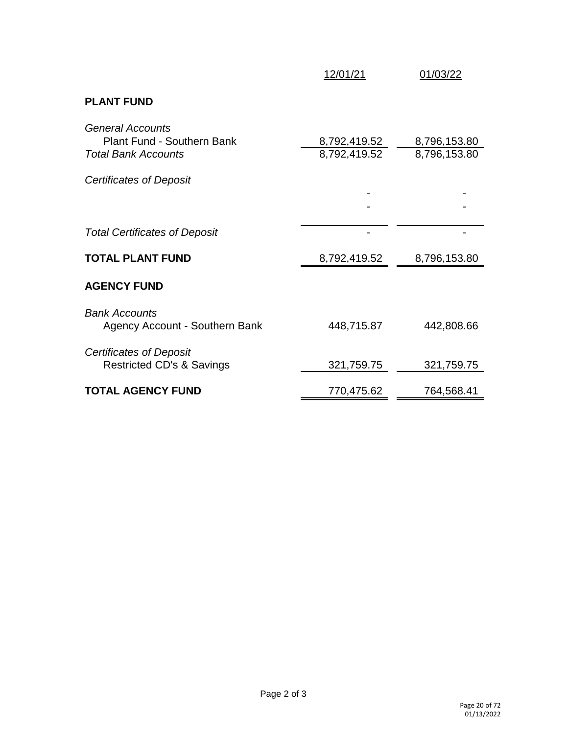|                                                                                            | 12/01/21                     | 01/03/22                     |
|--------------------------------------------------------------------------------------------|------------------------------|------------------------------|
| <b>PLANT FUND</b>                                                                          |                              |                              |
| <b>General Accounts</b><br><b>Plant Fund - Southern Bank</b><br><b>Total Bank Accounts</b> | 8,792,419.52<br>8,792,419.52 | 8,796,153.80<br>8,796,153.80 |
| Certificates of Deposit                                                                    |                              |                              |
|                                                                                            |                              |                              |
| <b>Total Certificates of Deposit</b>                                                       |                              |                              |
| <b>TOTAL PLANT FUND</b>                                                                    | 8,792,419.52                 | 8,796,153.80                 |
| <b>AGENCY FUND</b>                                                                         |                              |                              |
| <b>Bank Accounts</b><br>Agency Account - Southern Bank                                     | 448,715.87                   | 442,808.66                   |
| <b>Certificates of Deposit</b><br><b>Restricted CD's &amp; Savings</b>                     | 321,759.75                   | 321,759.75                   |
| <b>TOTAL AGENCY FUND</b>                                                                   | 770,475.62                   | 764,568.41                   |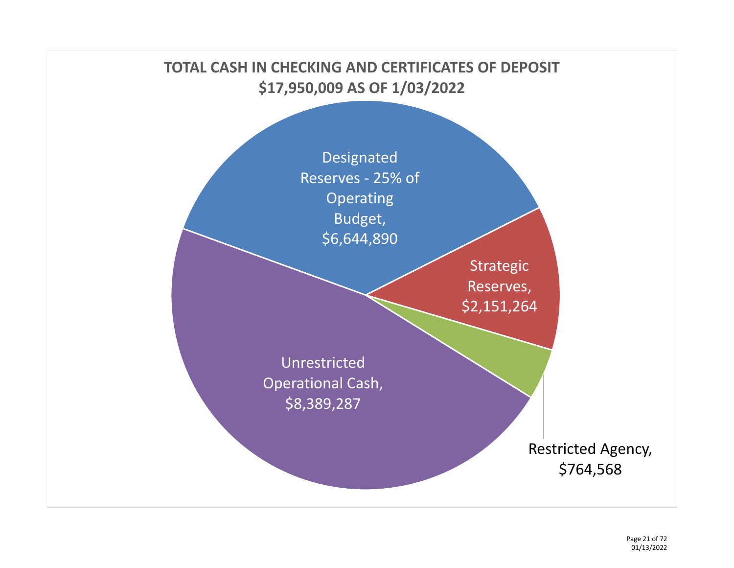

Page 21 of 72 01/13/2022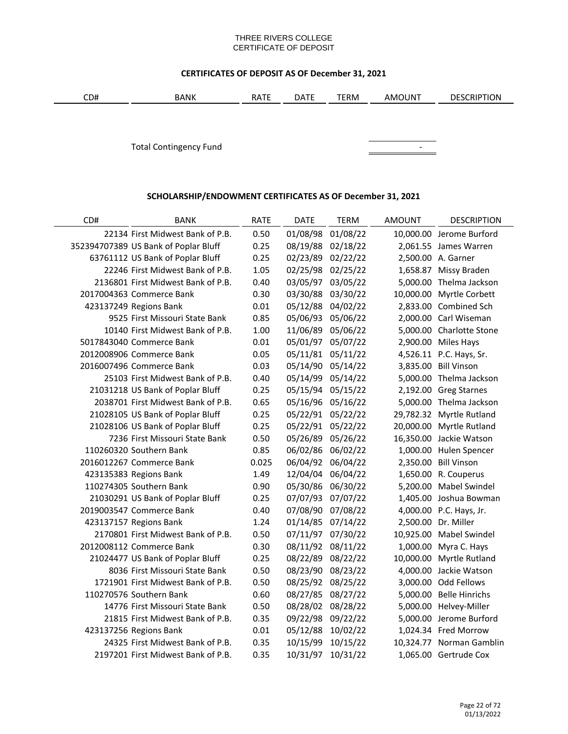#### THREE RIVERS COLLEGE CERTIFICATE OF DEPOSIT

# **CERTIFICATES OF DEPOSIT AS OF December 31, 2021**

|  | CD# | BANK | . . <del>. .</del><br>RAIL | $- - -$<br>DAIL | TERM | JUN"<br>AMO | <b>DESCRIPTION</b> |
|--|-----|------|----------------------------|-----------------|------|-------------|--------------------|
|--|-----|------|----------------------------|-----------------|------|-------------|--------------------|

Total Contingency Fund **Continues and Continues Continues and Continues Continues Continues Continues Continues Continues Continues Continues Continues Continues Continues Continues Continues Continues Continues Continues** 



### **SCHOLARSHIP/ENDOWMENT CERTIFICATES AS OF December 31, 2021**

| CD# | <b>BANK</b>                          | <b>RATE</b> | DATE     | <b>TERM</b>       | AMOUNT | <b>DESCRIPTION</b>       |
|-----|--------------------------------------|-------------|----------|-------------------|--------|--------------------------|
|     | 22134 First Midwest Bank of P.B.     | 0.50        | 01/08/98 | 01/08/22          |        | 10,000.00 Jerome Burford |
|     | 352394707389 US Bank of Poplar Bluff | 0.25        | 08/19/88 | 02/18/22          |        | 2,061.55 James Warren    |
|     | 63761112 US Bank of Poplar Bluff     | 0.25        | 02/23/89 | 02/22/22          |        | 2,500.00 A. Garner       |
|     | 22246 First Midwest Bank of P.B.     | 1.05        | 02/25/98 | 02/25/22          |        | 1,658.87 Missy Braden    |
|     | 2136801 First Midwest Bank of P.B.   | 0.40        | 03/05/97 | 03/05/22          |        | 5,000.00 Thelma Jackson  |
|     | 2017004363 Commerce Bank             | 0.30        | 03/30/88 | 03/30/22          |        | 10,000.00 Myrtle Corbett |
|     | 423137249 Regions Bank               | 0.01        | 05/12/88 | 04/02/22          |        | 2,833.00 Combined Sch    |
|     | 9525 First Missouri State Bank       | 0.85        | 05/06/93 | 05/06/22          |        | 2,000.00 Carl Wiseman    |
|     | 10140 First Midwest Bank of P.B.     | 1.00        | 11/06/89 | 05/06/22          |        | 5,000.00 Charlotte Stone |
|     | 5017843040 Commerce Bank             | 0.01        |          | 05/01/97 05/07/22 |        | 2,900.00 Miles Hays      |
|     | 2012008906 Commerce Bank             | 0.05        |          | 05/11/81 05/11/22 |        | 4,526.11 P.C. Hays, Sr.  |
|     | 2016007496 Commerce Bank             | 0.03        |          | 05/14/90 05/14/22 |        | 3,835.00 Bill Vinson     |
|     | 25103 First Midwest Bank of P.B.     | 0.40        |          | 05/14/99 05/14/22 |        | 5,000.00 Thelma Jackson  |
|     | 21031218 US Bank of Poplar Bluff     | 0.25        |          | 05/15/94 05/15/22 |        | 2,192.00 Greg Starnes    |
|     | 2038701 First Midwest Bank of P.B.   | 0.65        |          | 05/16/96 05/16/22 |        | 5,000.00 Thelma Jackson  |
|     | 21028105 US Bank of Poplar Bluff     | 0.25        |          | 05/22/91 05/22/22 |        | 29,782.32 Myrtle Rutland |
|     | 21028106 US Bank of Poplar Bluff     | 0.25        |          | 05/22/91 05/22/22 |        | 20,000.00 Myrtle Rutland |
|     | 7236 First Missouri State Bank       | 0.50        |          | 05/26/89 05/26/22 |        | 16,350.00 Jackie Watson  |
|     | 110260320 Southern Bank              | 0.85        |          | 06/02/86 06/02/22 |        | 1,000.00 Hulen Spencer   |
|     | 2016012267 Commerce Bank             | 0.025       |          | 06/04/92 06/04/22 |        | 2,350.00 Bill Vinson     |
|     | 423135383 Regions Bank               | 1.49        |          | 12/04/04 06/04/22 |        | 1,650.00 R. Couperus     |
|     | 110274305 Southern Bank              | 0.90        |          | 05/30/86 06/30/22 |        | 5,200.00 Mabel Swindel   |
|     | 21030291 US Bank of Poplar Bluff     | 0.25        |          | 07/07/93 07/07/22 |        | 1,405.00 Joshua Bowman   |
|     | 2019003547 Commerce Bank             | 0.40        |          | 07/08/90 07/08/22 |        | 4,000.00 P.C. Hays, Jr.  |
|     | 423137157 Regions Bank               | 1.24        |          | 01/14/85 07/14/22 |        | 2,500.00 Dr. Miller      |
|     | 2170801 First Midwest Bank of P.B.   | 0.50        |          | 07/11/97 07/30/22 |        | 10,925.00 Mabel Swindel  |
|     | 2012008112 Commerce Bank             | 0.30        |          | 08/11/92 08/11/22 |        | 1,000.00 Myra C. Hays    |
|     | 21024477 US Bank of Poplar Bluff     | 0.25        |          | 08/22/89 08/22/22 |        | 10,000.00 Myrtle Rutland |
|     | 8036 First Missouri State Bank       | 0.50        |          | 08/23/90 08/23/22 |        | 4,000.00 Jackie Watson   |
|     | 1721901 First Midwest Bank of P.B.   | 0.50        |          | 08/25/92 08/25/22 |        | 3,000.00 Odd Fellows     |
|     | 110270576 Southern Bank              | 0.60        |          | 08/27/85 08/27/22 |        | 5,000.00 Belle Hinrichs  |
|     | 14776 First Missouri State Bank      | 0.50        |          | 08/28/02 08/28/22 |        | 5,000.00 Helvey-Miller   |
|     | 21815 First Midwest Bank of P.B.     | 0.35        |          | 09/22/98 09/22/22 |        | 5,000.00 Jerome Burford  |
|     | 423137256 Regions Bank               | 0.01        |          | 05/12/88 10/02/22 |        | 1,024.34 Fred Morrow     |
|     | 24325 First Midwest Bank of P.B.     | 0.35        | 10/15/99 | 10/15/22          |        | 10,324.77 Norman Gamblin |
|     | 2197201 First Midwest Bank of P.B.   | 0.35        | 10/31/97 | 10/31/22          |        | 1,065.00 Gertrude Cox    |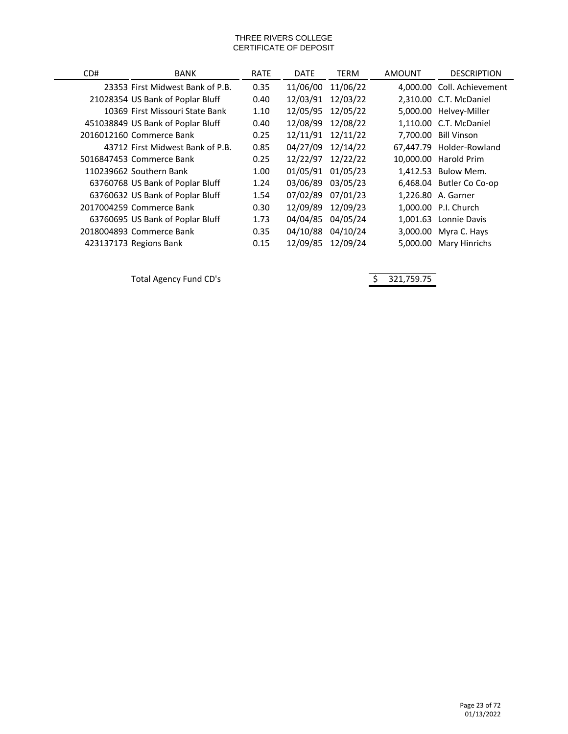#### THREE RIVERS COLLEGE CERTIFICATE OF DEPOSIT

| CD# | <b>BANK</b>                       | <b>RATE</b> | <b>DATE</b> | TERM     | AMOUNT   | <b>DESCRIPTION</b>         |
|-----|-----------------------------------|-------------|-------------|----------|----------|----------------------------|
|     | 23353 First Midwest Bank of P.B.  | 0.35        | 11/06/00    | 11/06/22 |          | 4,000.00 Coll. Achievement |
|     | 21028354 US Bank of Poplar Bluff  | 0.40        | 12/03/91    | 12/03/22 |          | 2,310.00 C.T. McDaniel     |
|     | 10369 First Missouri State Bank   | 1.10        | 12/05/95    | 12/05/22 |          | 5,000.00 Helvey-Miller     |
|     | 451038849 US Bank of Poplar Bluff | 0.40        | 12/08/99    | 12/08/22 |          | 1.110.00 C.T. McDaniel     |
|     | 2016012160 Commerce Bank          | 0.25        | 12/11/91    | 12/11/22 | 7,700.00 | <b>Bill Vinson</b>         |
|     | 43712 First Midwest Bank of P.B.  | 0.85        | 04/27/09    | 12/14/22 |          | 67.447.79 Holder-Rowland   |
|     | 5016847453 Commerce Bank          | 0.25        | 12/22/97    | 12/22/22 |          | 10.000.00 Harold Prim      |
|     | 110239662 Southern Bank           | 1.00        | 01/05/91    | 01/05/23 |          | 1,412.53 Bulow Mem.        |
|     | 63760768 US Bank of Poplar Bluff  | 1.24        | 03/06/89    | 03/05/23 |          | 6,468.04 Butler Co Co-op   |
|     | 63760632 US Bank of Poplar Bluff  | 1.54        | 07/02/89    | 07/01/23 |          | 1.226.80 A. Garner         |
|     | 2017004259 Commerce Bank          | 0.30        | 12/09/89    | 12/09/23 |          | 1,000.00 P.I. Church       |
|     | 63760695 US Bank of Poplar Bluff  | 1.73        | 04/04/85    | 04/05/24 | 1.001.63 | Lonnie Davis               |
|     | 2018004893 Commerce Bank          | 0.35        | 04/10/88    | 04/10/24 |          | 3,000.00 Myra C. Hays      |
|     | 423137173 Regions Bank            | 0.15        | 12/09/85    | 12/09/24 | 5,000.00 | Mary Hinrichs              |

Total Agency Fund CD's and the state of the Same State of the Same State of the Same State of the Same State of Same State of the Same State of the Same State of the Same State of the Same State of the Same State of the Sa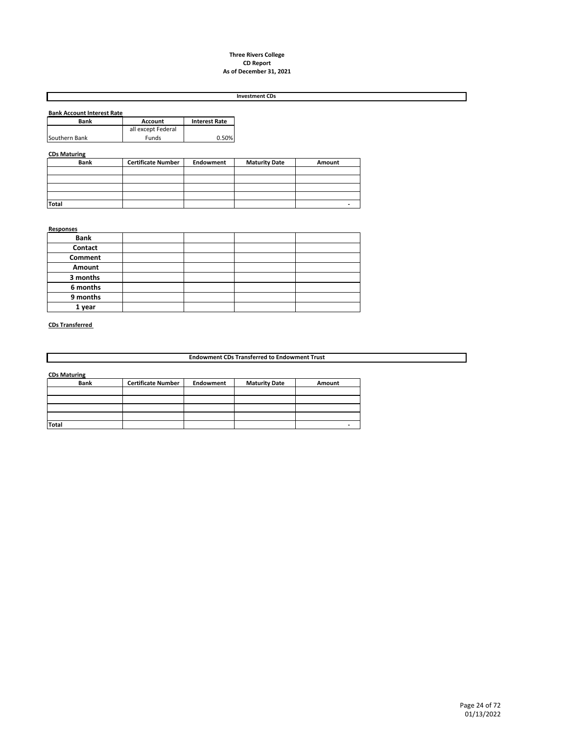#### **Three Rivers College CD Report As of December 31, 2021**

#### **Investment CDs**

| <b>Bank Account Interest Rate</b> |                      |
|-----------------------------------|----------------------|
| <b>Account</b>                    | <b>Interest Rate</b> |
| all except Federal                |                      |
| Funds                             | 0.50%                |
|                                   |                      |

#### **CDs Maturing**

| <b>Bank</b>  | <b>Certificate Number</b> | Endowment | <b>Maturity Date</b> | Amount |
|--------------|---------------------------|-----------|----------------------|--------|
|              |                           |           |                      |        |
|              |                           |           |                      |        |
|              |                           |           |                      |        |
|              |                           |           |                      |        |
| <b>Total</b> |                           |           |                      |        |

#### **Responses**

| <b>Bank</b> |  |  |
|-------------|--|--|
| Contact     |  |  |
| Comment     |  |  |
| Amount      |  |  |
| 3 months    |  |  |
| 6 months    |  |  |
| 9 months    |  |  |
| 1 year      |  |  |

#### **CDs Transferred**

**Endowment CDs Transferred to Endowment Trust**

**CDs Maturing**

| <b>Bank</b>  | <b>Certificate Number</b> | Endowment | <b>Maturity Date</b> | Amount |
|--------------|---------------------------|-----------|----------------------|--------|
|              |                           |           |                      |        |
|              |                           |           |                      |        |
|              |                           |           |                      |        |
|              |                           |           |                      |        |
| <b>Total</b> |                           |           |                      |        |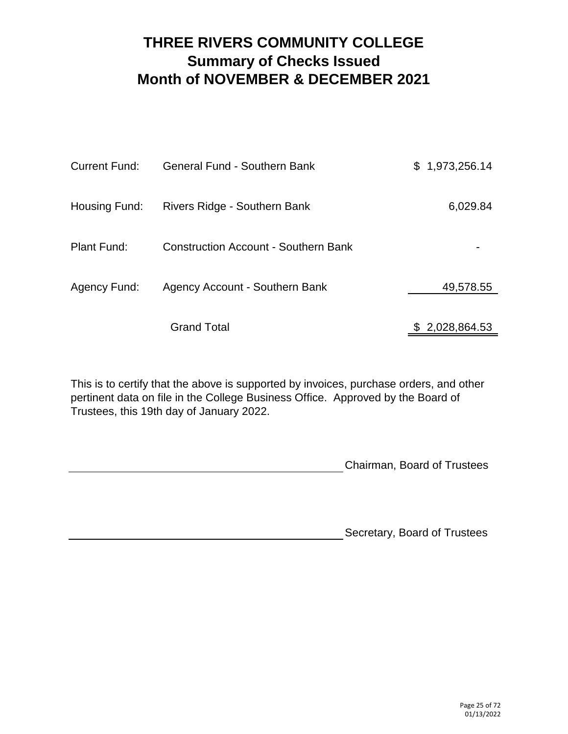# **THREE RIVERS COMMUNITY COLLEGE Summary of Checks Issued Month of NOVEMBER & DECEMBER 2021**

| <b>Current Fund:</b> | <b>General Fund - Southern Bank</b>         | \$1,973,256.14 |
|----------------------|---------------------------------------------|----------------|
| Housing Fund:        | Rivers Ridge - Southern Bank                | 6,029.84       |
| Plant Fund:          | <b>Construction Account - Southern Bank</b> |                |
| Agency Fund:         | Agency Account - Southern Bank              | 49,578.55      |
|                      | <b>Grand Total</b>                          | \$2,028,864.53 |

This is to certify that the above is supported by invoices, purchase orders, and other pertinent data on file in the College Business Office. Approved by the Board of Trustees, this 19th day of January 2022.

Chairman, Board of Trustees

Secretary, Board of Trustees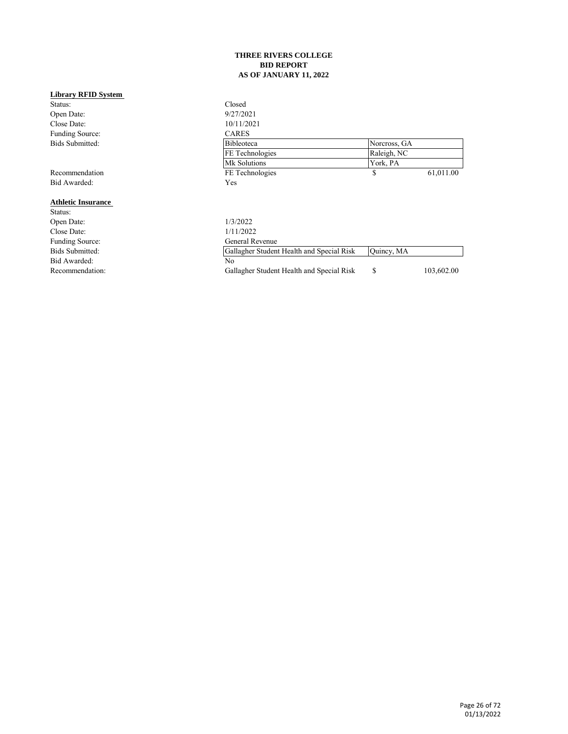#### **THREE RIVERS COLLEGE BID REPORT AS OF JANUARY 11, 2022**

| <b>Library RFID System</b> |                                           |              |            |
|----------------------------|-------------------------------------------|--------------|------------|
| Status:                    | Closed                                    |              |            |
| Open Date:                 | 9/27/2021                                 |              |            |
| Close Date:                | 10/11/2021                                |              |            |
| Funding Source:            | <b>CARES</b>                              |              |            |
| <b>Bids Submitted:</b>     | <b>Bibleoteca</b>                         | Norcross, GA |            |
|                            | FE Technologies                           | Raleigh, NC  |            |
|                            | Mk Solutions                              | York, PA     |            |
| Recommendation             | FE Technologies                           | \$           | 61,011.00  |
| Bid Awarded:               | Yes                                       |              |            |
| <b>Athletic Insurance</b>  |                                           |              |            |
| Status:                    |                                           |              |            |
| Open Date:                 | 1/3/2022                                  |              |            |
| Close Date:                | 1/11/2022                                 |              |            |
| Funding Source:            | General Revenue                           |              |            |
| Bids Submitted:            | Gallagher Student Health and Special Risk | Quincy, MA   |            |
| Bid Awarded:               | No                                        |              |            |
| Recommendation:            | Gallagher Student Health and Special Risk | \$           | 103,602.00 |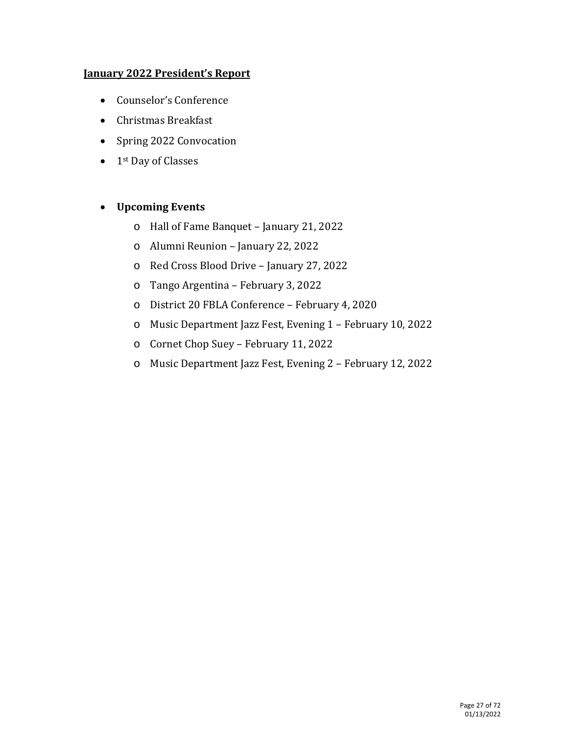# **January 2022 President's Report**

- Counselor's Conference
- Christmas Breakfast
- Spring 2022 Convocation
- 1<sup>st</sup> Day of Classes

# • **Upcoming Events**

- o Hall of Fame Banquet January 21, 2022
- o Alumni Reunion January 22, 2022
- o Red Cross Blood Drive January 27, 2022
- o Tango Argentina February 3, 2022
- o District 20 FBLA Conference February 4, 2020
- o Music Department Jazz Fest, Evening 1 February 10, 2022
- o Cornet Chop Suey February 11, 2022
- o Music Department Jazz Fest, Evening 2 February 12, 2022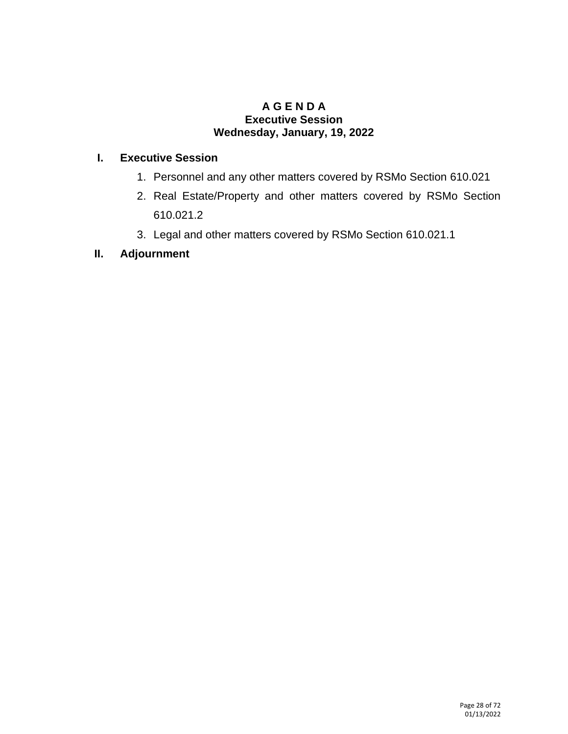### **A G E N D A Executive Session Wednesday, January, 19, 2022**

# **I. Executive Session**

- 1. Personnel and any other matters covered by RSMo Section 610.021
- 2. Real Estate/Property and other matters covered by RSMo Section 610.021.2
- 3. Legal and other matters covered by RSMo Section 610.021.1

# **II. Adjournment**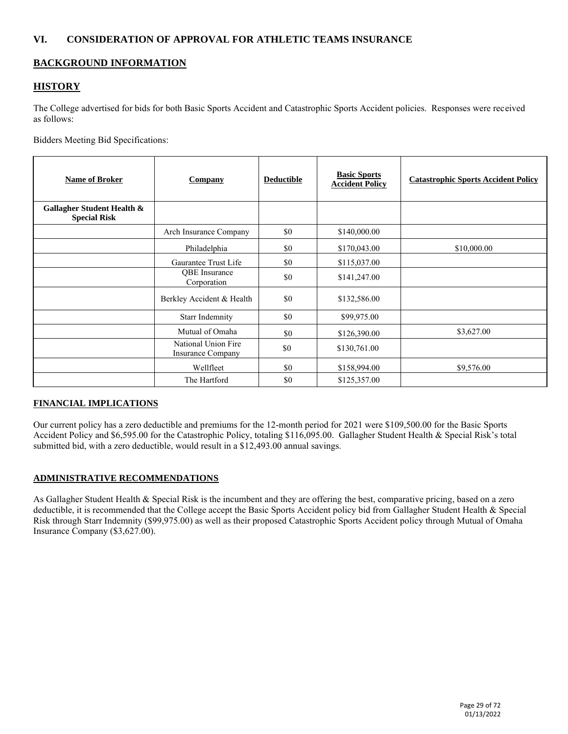### **VI. CONSIDERATION OF APPROVAL FOR ATHLETIC TEAMS INSURANCE**

### **BACKGROUND INFORMATION**

### **HISTORY**

The College advertised for bids for both Basic Sports Accident and Catastrophic Sports Accident policies. Responses were received as follows:

Bidders Meeting Bid Specifications:

| <b>Name of Broker</b>                             | Company                                  | <b>Deductible</b> | <b>Basic Sports</b><br><b>Accident Policy</b> | <b>Catastrophic Sports Accident Policy</b> |
|---------------------------------------------------|------------------------------------------|-------------------|-----------------------------------------------|--------------------------------------------|
| Gallagher Student Health &<br><b>Special Risk</b> |                                          |                   |                                               |                                            |
|                                                   | Arch Insurance Company                   | \$0               | \$140,000.00                                  |                                            |
|                                                   | Philadelphia                             | \$0               | \$170,043.00                                  | \$10,000.00                                |
|                                                   | Gaurantee Trust Life                     | \$0               | \$115,037.00                                  |                                            |
|                                                   | QBE Insurance<br>Corporation             | \$0               | \$141,247.00                                  |                                            |
|                                                   | Berkley Accident & Health                | \$0               | \$132,586.00                                  |                                            |
|                                                   | <b>Starr Indemnity</b>                   | \$0               | \$99,975.00                                   |                                            |
|                                                   | Mutual of Omaha                          | \$0               | \$126,390.00                                  | \$3,627.00                                 |
|                                                   | National Union Fire<br>Insurance Company | \$0               | \$130,761.00                                  |                                            |
|                                                   | Wellfleet                                | \$0               | \$158,994.00                                  | \$9,576.00                                 |
|                                                   | The Hartford                             | \$0               | \$125,357.00                                  |                                            |

#### **FINANCIAL IMPLICATIONS**

Our current policy has a zero deductible and premiums for the 12-month period for 2021 were \$109,500.00 for the Basic Sports Accident Policy and \$6,595.00 for the Catastrophic Policy, totaling \$116,095.00. Gallagher Student Health & Special Risk's total submitted bid, with a zero deductible, would result in a \$12,493.00 annual savings.

#### **ADMINISTRATIVE RECOMMENDATIONS**

As Gallagher Student Health & Special Risk is the incumbent and they are offering the best, comparative pricing, based on a zero deductible, it is recommended that the College accept the Basic Sports Accident policy bid from Gallagher Student Health & Special Risk through Starr Indemnity (\$99,975.00) as well as their proposed Catastrophic Sports Accident policy through Mutual of Omaha Insurance Company (\$3,627.00).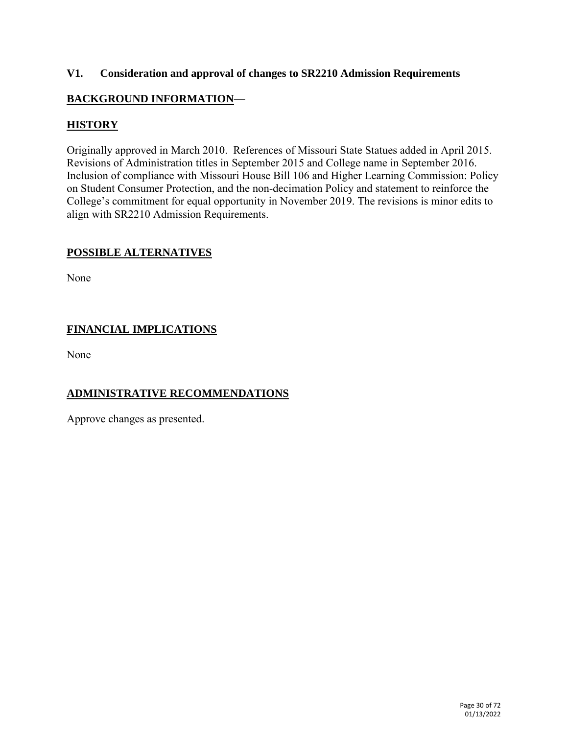### **V1. Consideration and approval of changes to SR2210 Admission Requirements**

# **BACKGROUND INFORMATION**—

# **HISTORY**

Originally approved in March 2010. References of Missouri State Statues added in April 2015. Revisions of Administration titles in September 2015 and College name in September 2016. Inclusion of compliance with Missouri House Bill 106 and Higher Learning Commission: Policy on Student Consumer Protection, and the non-decimation Policy and statement to reinforce the College's commitment for equal opportunity in November 2019. The revisions is minor edits to align with SR2210 Admission Requirements.

### **POSSIBLE ALTERNATIVES**

None

# **FINANCIAL IMPLICATIONS**

None

# **ADMINISTRATIVE RECOMMENDATIONS**

Approve changes as presented.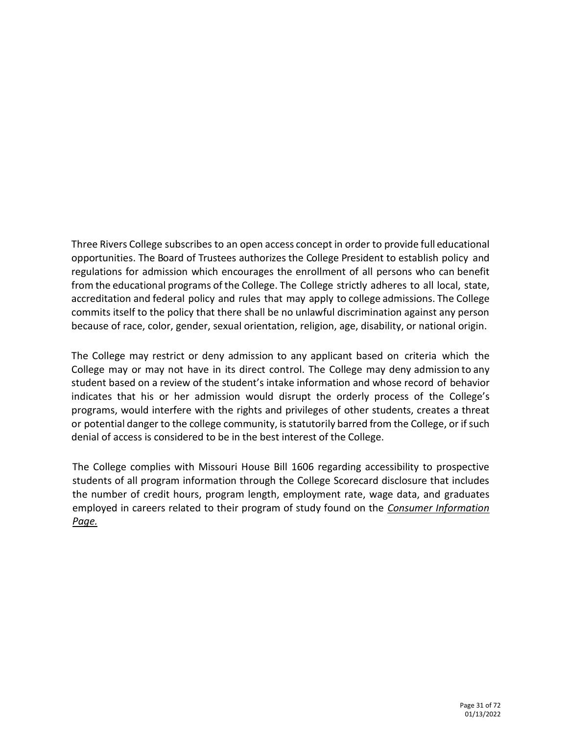Three Rivers College subscribes to an open access concept in order to provide full educational opportunities. The Board of Trustees authorizes the College President to establish policy and regulations for admission which encourages the enrollment of all persons who can benefit from the educational programs of the College. The College strictly adheres to all local, state, accreditation and federal policy and rules that may apply to college admissions. The College commits itself to the policy that there shall be no unlawful discrimination against any person because of race, color, gender, sexual orientation, religion, age, disability, or national origin.

The College may restrict or deny admission to any applicant based on criteria which the College may or may not have in its direct control. The College may deny admission to any student based on a review of the student's intake information and whose record of behavior indicates that his or her admission would disrupt the orderly process of the College's programs, would interfere with the rights and privileges of other students, creates a threat or potential danger to the college community, is statutorily barred from the College, or if such denial of access is considered to be in the best interest of the College.

The College complies with Missouri House Bill 1606 regarding accessibility to prospective students of all program information through the College Scorecard disclosure that includes the number of credit hours, program length, employment rate, wage data, and graduates employed in careers related to their program of study found on the *Consumer Information Page.*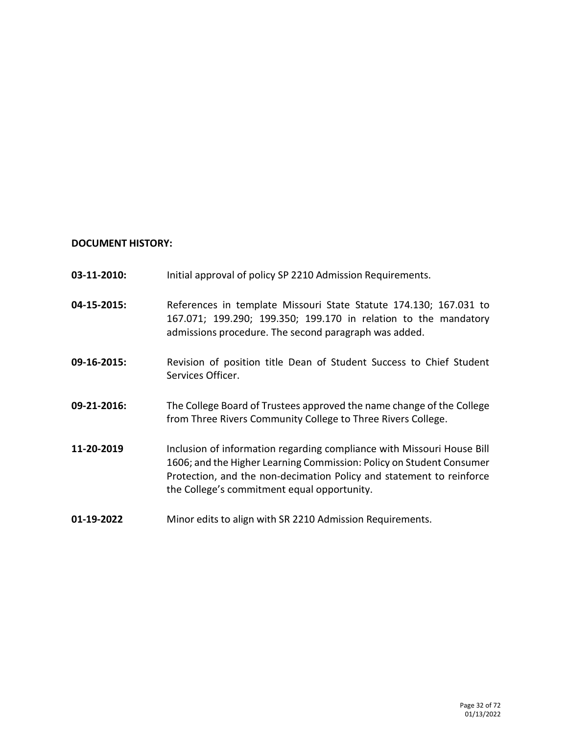### **DOCUMENT HISTORY:**

| 03-11-2010: | Initial approval of policy SP 2210 Admission Requirements.                                                                                                                                                                                                            |
|-------------|-----------------------------------------------------------------------------------------------------------------------------------------------------------------------------------------------------------------------------------------------------------------------|
| 04-15-2015: | References in template Missouri State Statute 174.130; 167.031 to<br>167.071; 199.290; 199.350; 199.170 in relation to the mandatory<br>admissions procedure. The second paragraph was added.                                                                         |
| 09-16-2015: | Revision of position title Dean of Student Success to Chief Student<br>Services Officer.                                                                                                                                                                              |
| 09-21-2016: | The College Board of Trustees approved the name change of the College<br>from Three Rivers Community College to Three Rivers College.                                                                                                                                 |
| 11-20-2019  | Inclusion of information regarding compliance with Missouri House Bill<br>1606; and the Higher Learning Commission: Policy on Student Consumer<br>Protection, and the non-decimation Policy and statement to reinforce<br>the College's commitment equal opportunity. |
| 01-19-2022  | Minor edits to align with SR 2210 Admission Requirements.                                                                                                                                                                                                             |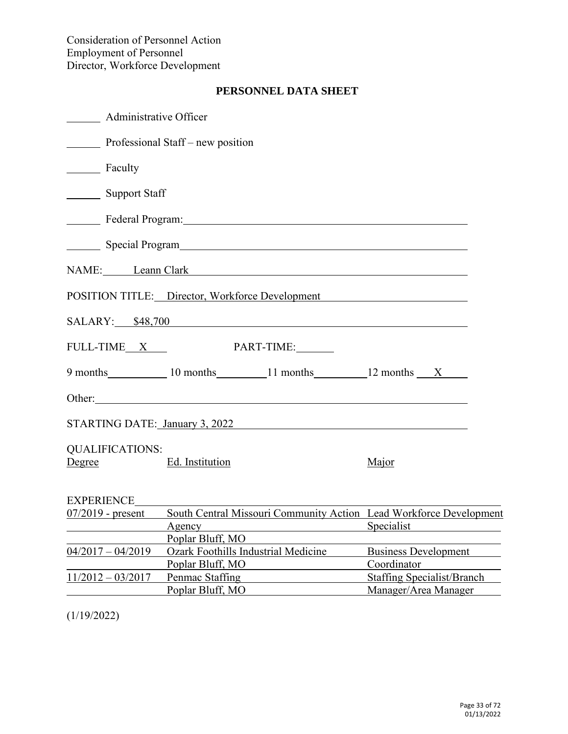| Administrative Officer                                                                                                                                                                                                         |                                                                                    |                                                                                         |
|--------------------------------------------------------------------------------------------------------------------------------------------------------------------------------------------------------------------------------|------------------------------------------------------------------------------------|-----------------------------------------------------------------------------------------|
| Professional Staff – new position                                                                                                                                                                                              |                                                                                    |                                                                                         |
| Faculty<br>$\overline{\phantom{a}}$                                                                                                                                                                                            |                                                                                    |                                                                                         |
| <b>Support Staff</b>                                                                                                                                                                                                           |                                                                                    |                                                                                         |
| Lackson Contract Program: Lackson Contract Program: Lackson Contract Contract Contract Contract Contract Contract Contract Contract Contract Contract Contract Contract Contract Contract Contract Contract Contract Contract  |                                                                                    |                                                                                         |
| Special Program New York Contract to the Special Program                                                                                                                                                                       |                                                                                    |                                                                                         |
| NAME: Leann Clark Learn Clark                                                                                                                                                                                                  |                                                                                    |                                                                                         |
| POSITION TITLE: Director, Workforce Development                                                                                                                                                                                |                                                                                    |                                                                                         |
| SALARY: \$48,700                                                                                                                                                                                                               |                                                                                    |                                                                                         |
| FULL-TIME <sub>X</sub>                                                                                                                                                                                                         | PART-TIME:                                                                         |                                                                                         |
| 9 months 10 months 11 months 12 months X                                                                                                                                                                                       |                                                                                    |                                                                                         |
| Other: experience of the contract of the contract of the contract of the contract of the contract of the contract of the contract of the contract of the contract of the contract of the contract of the contract of the contr |                                                                                    |                                                                                         |
| STARTING DATE: January 3, 2022                                                                                                                                                                                                 |                                                                                    |                                                                                         |
| <b>QUALIFICATIONS:</b><br>Degree                                                                                                                                                                                               | Ed. Institution                                                                    | Major                                                                                   |
| EXPERIENCE                                                                                                                                                                                                                     |                                                                                    |                                                                                         |
| $07/2019$ - present<br>Agency                                                                                                                                                                                                  |                                                                                    | South Central Missouri Community Action Lead Workforce Development<br><u>Specialist</u> |
| $04/2017 - 04/2019$                                                                                                                                                                                                            | Poplar Bluff, MO<br><b>Ozark Foothills Industrial Medicine</b><br>Poplar Bluff, MO | <b>Business Development</b><br>Coordinator                                              |
| $11/2012 - 03/2017$                                                                                                                                                                                                            | Penmac Staffing<br>Poplar Bluff, MO                                                | <b>Staffing Specialist/Branch</b><br>Manager/Area Manager                               |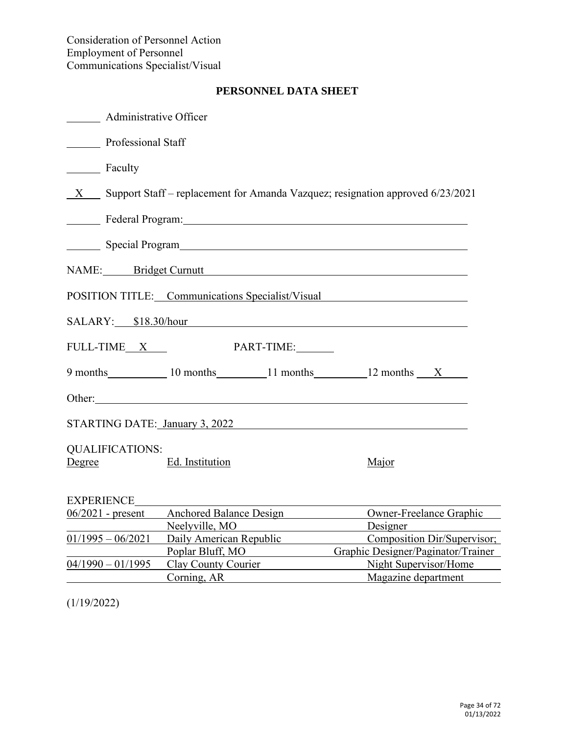|            | <b>Administrative Officer</b>                                                    |                                                                                                                                                                                                                               |                                              |  |  |
|------------|----------------------------------------------------------------------------------|-------------------------------------------------------------------------------------------------------------------------------------------------------------------------------------------------------------------------------|----------------------------------------------|--|--|
|            | <b>Professional Staff</b>                                                        |                                                                                                                                                                                                                               |                                              |  |  |
| Faculty    |                                                                                  |                                                                                                                                                                                                                               |                                              |  |  |
|            | X Support Staff – replacement for Amanda Vazquez; resignation approved 6/23/2021 |                                                                                                                                                                                                                               |                                              |  |  |
|            |                                                                                  | Federal Program: The Contract of the Contract of the Contract of the Contract of the Contract of the Contract of the Contract of the Contract of the Contract of the Contract of the Contract of the Contract of the Contract |                                              |  |  |
|            |                                                                                  |                                                                                                                                                                                                                               |                                              |  |  |
|            |                                                                                  | NAME: Bridget Curnutt                                                                                                                                                                                                         |                                              |  |  |
|            |                                                                                  | POSITION TITLE: Communications Specialist/Visual                                                                                                                                                                              |                                              |  |  |
|            | SALARY: \$18.30/hour                                                             |                                                                                                                                                                                                                               |                                              |  |  |
|            | FULL-TIME X                                                                      | PART-TIME:                                                                                                                                                                                                                    |                                              |  |  |
|            |                                                                                  | 9 months 10 months 11 months 12 months X                                                                                                                                                                                      |                                              |  |  |
|            |                                                                                  | Other:                                                                                                                                                                                                                        |                                              |  |  |
|            |                                                                                  | STARTING DATE: January 3, 2022                                                                                                                                                                                                |                                              |  |  |
| Degree     | <b>QUALIFICATIONS:</b>                                                           | Ed. Institution                                                                                                                                                                                                               | Major                                        |  |  |
| EXPERIENCE |                                                                                  |                                                                                                                                                                                                                               |                                              |  |  |
|            | $06/2021$ - present                                                              | <b>Anchored Balance Design</b>                                                                                                                                                                                                | Owner-Freelance Graphic                      |  |  |
|            |                                                                                  | Neelyville, MO                                                                                                                                                                                                                | Designer                                     |  |  |
|            |                                                                                  | 01/1995 - 06/2021 Daily American Republic                                                                                                                                                                                     | Composition Dir/Supervisor;                  |  |  |
|            |                                                                                  | Poplar Bluff, MO                                                                                                                                                                                                              | Graphic Designer/Paginator/Trainer           |  |  |
|            | $04/1990 - 01/1995$                                                              | Clay County Courier<br>Corning, AR                                                                                                                                                                                            | Night Supervisor/Home<br>Magazine department |  |  |
|            |                                                                                  |                                                                                                                                                                                                                               |                                              |  |  |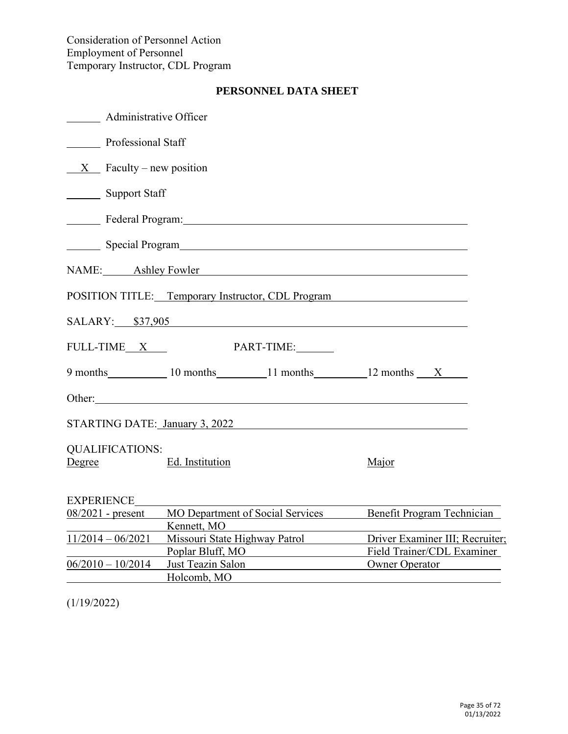| <b>Manufally</b> Administrative Officer          |                                                   |                                                               |  |  |  |
|--------------------------------------------------|---------------------------------------------------|---------------------------------------------------------------|--|--|--|
| Professional Staff                               |                                                   |                                                               |  |  |  |
|                                                  | $X$ Faculty – new position                        |                                                               |  |  |  |
| <b>Support Staff</b><br>$\overline{\phantom{a}}$ |                                                   |                                                               |  |  |  |
|                                                  | Federal Program: National Assembly Program:       |                                                               |  |  |  |
|                                                  |                                                   |                                                               |  |  |  |
|                                                  | NAME: Ashley Fowler                               |                                                               |  |  |  |
|                                                  | POSITION TITLE: Temporary Instructor, CDL Program |                                                               |  |  |  |
|                                                  | SALARY: \$37,905                                  |                                                               |  |  |  |
| FULL-TIME X                                      | PART-TIME:                                        |                                                               |  |  |  |
|                                                  | 9 months 10 months 11 months 12 months X          |                                                               |  |  |  |
|                                                  |                                                   |                                                               |  |  |  |
|                                                  | STARTING DATE: January 3, 2022                    |                                                               |  |  |  |
| <b>QUALIFICATIONS:</b><br>Degree                 | Ed. Institution                                   | Major                                                         |  |  |  |
| <b>EXPERIENCE</b>                                |                                                   |                                                               |  |  |  |
| $08/2021$ - present                              | MO Department of Social Services<br>Kennett, MO   | Benefit Program Technician                                    |  |  |  |
| $11/2014 - 06/2021$                              | Missouri State Highway Patrol<br>Poplar Bluff, MO | Driver Examiner III; Recruiter;<br>Field Trainer/CDL Examiner |  |  |  |
| $06/2010 - 10/2014$                              | Just Teazin Salon<br>Holcomb, MO                  | <b>Owner Operator</b>                                         |  |  |  |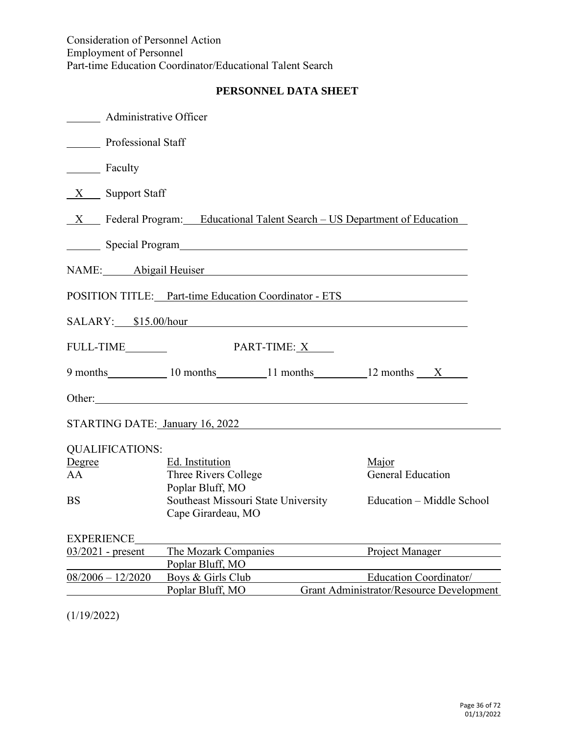| <b>Administrative Officer</b>                                                                                                                                                                                                  |                                                                                                                                                                                                                                      |                                                 |  |  |  |  |
|--------------------------------------------------------------------------------------------------------------------------------------------------------------------------------------------------------------------------------|--------------------------------------------------------------------------------------------------------------------------------------------------------------------------------------------------------------------------------------|-------------------------------------------------|--|--|--|--|
|                                                                                                                                                                                                                                | <b>Professional Staff</b>                                                                                                                                                                                                            |                                                 |  |  |  |  |
| <b>Example</b> Faculty                                                                                                                                                                                                         |                                                                                                                                                                                                                                      |                                                 |  |  |  |  |
| $X \quad$ Support Staff                                                                                                                                                                                                        |                                                                                                                                                                                                                                      |                                                 |  |  |  |  |
| $X$ Federal Program: Educational Talent Search – US Department of Education                                                                                                                                                    |                                                                                                                                                                                                                                      |                                                 |  |  |  |  |
| Special Program and the state of the state of the state of the state of the state of the state of the state of the state of the state of the state of the state of the state of the state of the state of the state of the sta |                                                                                                                                                                                                                                      |                                                 |  |  |  |  |
|                                                                                                                                                                                                                                |                                                                                                                                                                                                                                      |                                                 |  |  |  |  |
| NAME: Abigail Heuiser<br>Abigail Heuiser                                                                                                                                                                                       |                                                                                                                                                                                                                                      |                                                 |  |  |  |  |
| POSITION TITLE: Part-time Education Coordinator - ETS<br>SALARY: \$15.00/hour                                                                                                                                                  |                                                                                                                                                                                                                                      |                                                 |  |  |  |  |
|                                                                                                                                                                                                                                |                                                                                                                                                                                                                                      |                                                 |  |  |  |  |
| FULL-TIME                                                                                                                                                                                                                      | PART-TIME: X                                                                                                                                                                                                                         |                                                 |  |  |  |  |
|                                                                                                                                                                                                                                | 9 months 10 months 11 months 12 months X                                                                                                                                                                                             |                                                 |  |  |  |  |
|                                                                                                                                                                                                                                | Other: <u>contract the contract of the contract of the contract of the contract of the contract of the contract of the contract of the contract of the contract of the contract of the contract of the contract of the contract </u> |                                                 |  |  |  |  |
|                                                                                                                                                                                                                                | STARTING DATE: January 16, 2022                                                                                                                                                                                                      |                                                 |  |  |  |  |
| <b>QUALIFICATIONS:</b>                                                                                                                                                                                                         |                                                                                                                                                                                                                                      |                                                 |  |  |  |  |
| Degree                                                                                                                                                                                                                         | Ed. Institution                                                                                                                                                                                                                      | Major                                           |  |  |  |  |
| AA                                                                                                                                                                                                                             | Three Rivers College                                                                                                                                                                                                                 | <b>General Education</b>                        |  |  |  |  |
|                                                                                                                                                                                                                                | Poplar Bluff, MO                                                                                                                                                                                                                     |                                                 |  |  |  |  |
| <b>BS</b>                                                                                                                                                                                                                      | Southeast Missouri State University Education – Middle School<br>Cape Girardeau, MO                                                                                                                                                  |                                                 |  |  |  |  |
|                                                                                                                                                                                                                                |                                                                                                                                                                                                                                      |                                                 |  |  |  |  |
| <b>EXPERIENCE</b>                                                                                                                                                                                                              |                                                                                                                                                                                                                                      |                                                 |  |  |  |  |
| $03/2021$ - present                                                                                                                                                                                                            | The Mozark Companies                                                                                                                                                                                                                 | Project Manager                                 |  |  |  |  |
|                                                                                                                                                                                                                                | Poplar Bluff, MO                                                                                                                                                                                                                     |                                                 |  |  |  |  |
| $08/2006 - 12/2020$                                                                                                                                                                                                            | Boys & Girls Club                                                                                                                                                                                                                    | <b>Education Coordinator/</b>                   |  |  |  |  |
|                                                                                                                                                                                                                                | Poplar Bluff, MO                                                                                                                                                                                                                     | <b>Grant Administrator/Resource Development</b> |  |  |  |  |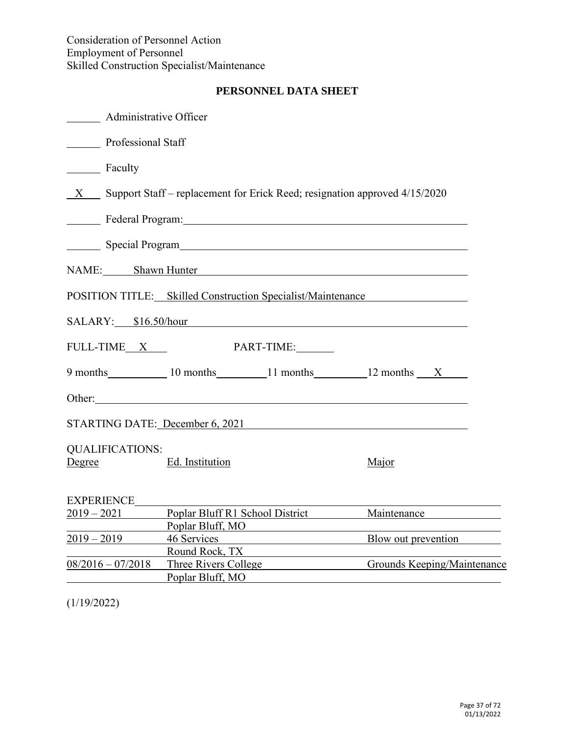# **PERSONNEL DATA SHEET**

| ________ Administrative Officer  |                                                                                                                                                                                                                                |                                             |
|----------------------------------|--------------------------------------------------------------------------------------------------------------------------------------------------------------------------------------------------------------------------------|---------------------------------------------|
| Professional Staff               |                                                                                                                                                                                                                                |                                             |
| Faculty                          |                                                                                                                                                                                                                                |                                             |
|                                  | $X$ Support Staff – replacement for Erick Reed; resignation approved 4/15/2020                                                                                                                                                 |                                             |
|                                  | Federal Program: National According to the Contract of the Contract of the Contract of the Contract of the Contract of the Contract of the Contract of the Contract of the Contract of the Contract of the Contract of the Con |                                             |
|                                  | Special Program                                                                                                                                                                                                                |                                             |
|                                  | NAME: Shawn Hunter                                                                                                                                                                                                             |                                             |
|                                  | POSITION TITLE: Skilled Construction Specialist/Maintenance                                                                                                                                                                    |                                             |
|                                  | SALARY: \$16.50/hour                                                                                                                                                                                                           |                                             |
| FULL-TIME X                      | PART-TIME:                                                                                                                                                                                                                     |                                             |
|                                  | 9 months 10 months 11 months 12 months X                                                                                                                                                                                       |                                             |
|                                  | Other:                                                                                                                                                                                                                         |                                             |
|                                  | STARTING DATE: December 6, 2021                                                                                                                                                                                                |                                             |
| <b>QUALIFICATIONS:</b><br>Degree | Ed. Institution                                                                                                                                                                                                                | Major                                       |
| <b>EXPERIENCE</b>                |                                                                                                                                                                                                                                |                                             |
| $2019 - 2021$                    | Poplar Bluff, MO                                                                                                                                                                                                               | Poplar Bluff R1 School District Maintenance |
| $2019 - 2019$                    | 46 Services<br>Round Rock, TX                                                                                                                                                                                                  | Blow out prevention                         |
| $08/2016 - 07/2018$              | Three Rivers College<br>Poplar Bluff, MO                                                                                                                                                                                       | Grounds Keeping/Maintenance                 |

(1/19/2022)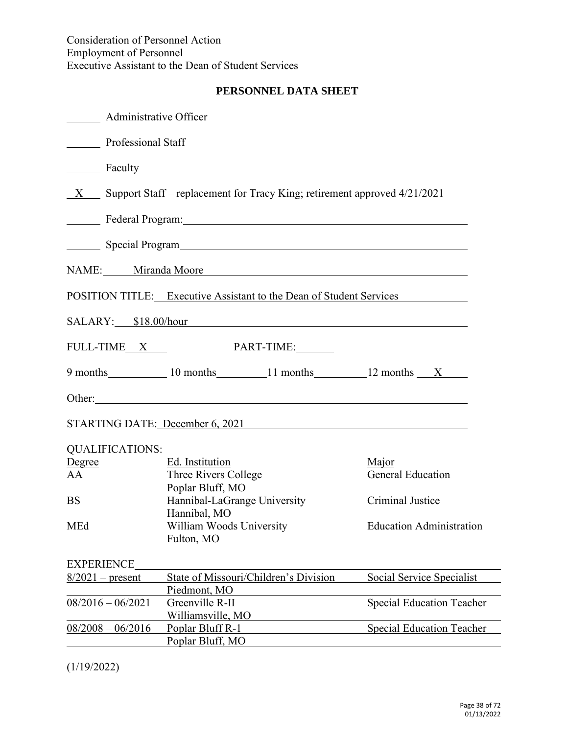# **PERSONNEL DATA SHEET**

| <b>Administrative Officer</b> |                                                                                                                                                                                                                                |                                  |
|-------------------------------|--------------------------------------------------------------------------------------------------------------------------------------------------------------------------------------------------------------------------------|----------------------------------|
| <b>Professional Staff</b>     |                                                                                                                                                                                                                                |                                  |
| Faculty                       |                                                                                                                                                                                                                                |                                  |
|                               | X Support Staff – replacement for Tracy King; retirement approved 4/21/2021                                                                                                                                                    |                                  |
|                               | Federal Program: New York Contract and Security Program in the Contract of the Contract of the Contract of the Contract of the Contract of the Contract of the Contract of the Contract of the Contract of the Contract of the |                                  |
|                               |                                                                                                                                                                                                                                |                                  |
|                               | NAME: Miranda Moore                                                                                                                                                                                                            |                                  |
|                               | POSITION TITLE: Executive Assistant to the Dean of Student Services                                                                                                                                                            |                                  |
|                               | SALARY: \$18.00/hour                                                                                                                                                                                                           |                                  |
| FULL-TIME <sub>X</sub>        | PART-TIME:                                                                                                                                                                                                                     |                                  |
|                               | 9 months 10 months 11 months 12 months X                                                                                                                                                                                       |                                  |
|                               |                                                                                                                                                                                                                                |                                  |
|                               | STARTING DATE: December 6, 2021                                                                                                                                                                                                |                                  |
| <b>QUALIFICATIONS:</b>        |                                                                                                                                                                                                                                |                                  |
| Degree                        | Ed. Institution                                                                                                                                                                                                                | Major                            |
| AA                            | Three Rivers College<br>Poplar Bluff, MO                                                                                                                                                                                       | <b>General Education</b>         |
| <b>BS</b>                     | Hannibal-LaGrange University<br>Hannibal, MO                                                                                                                                                                                   | Criminal Justice                 |
| MEd                           | William Woods University<br>Fulton, MO                                                                                                                                                                                         | <b>Education Administration</b>  |
| <b>EXPERIENCE</b>             |                                                                                                                                                                                                                                |                                  |
| $8/2021$ – present            | State of Missouri/Children's Division                                                                                                                                                                                          | Social Service Specialist        |
|                               | Piedmont, MO                                                                                                                                                                                                                   |                                  |
| $08/2016 - 06/2021$           | Greenville R-II                                                                                                                                                                                                                | <b>Special Education Teacher</b> |
|                               | Williamsville, MO                                                                                                                                                                                                              |                                  |
| $08/2008 - 06/2016$           | Poplar Bluff R-1<br>Poplar Bluff, MO                                                                                                                                                                                           | <b>Special Education Teacher</b> |

(1/19/2022)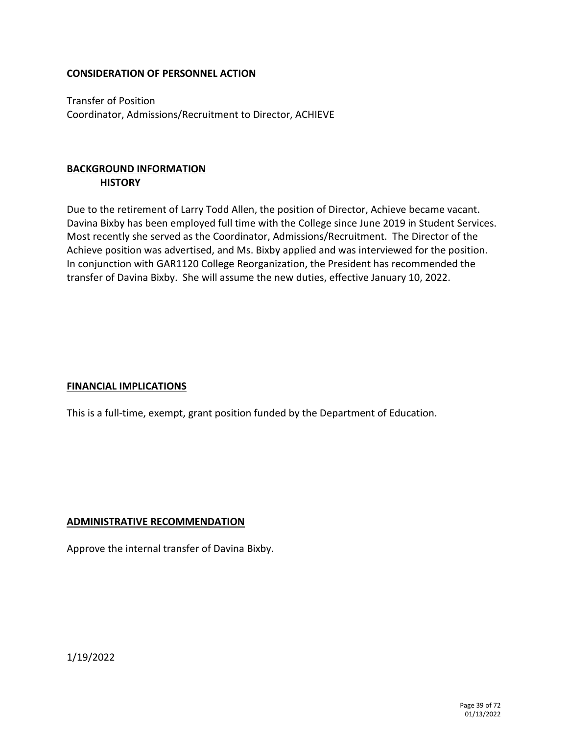Transfer of Position Coordinator, Admissions/Recruitment to Director, ACHIEVE

# **BACKGROUND INFORMATION HISTORY**

Due to the retirement of Larry Todd Allen, the position of Director, Achieve became vacant. Davina Bixby has been employed full time with the College since June 2019 in Student Services. Most recently she served as the Coordinator, Admissions/Recruitment. The Director of the Achieve position was advertised, and Ms. Bixby applied and was interviewed for the position. In conjunction with GAR1120 College Reorganization, the President has recommended the transfer of Davina Bixby. She will assume the new duties, effective January 10, 2022.

# **FINANCIAL IMPLICATIONS**

This is a full-time, exempt, grant position funded by the Department of Education.

#### **ADMINISTRATIVE RECOMMENDATION**

Approve the internal transfer of Davina Bixby.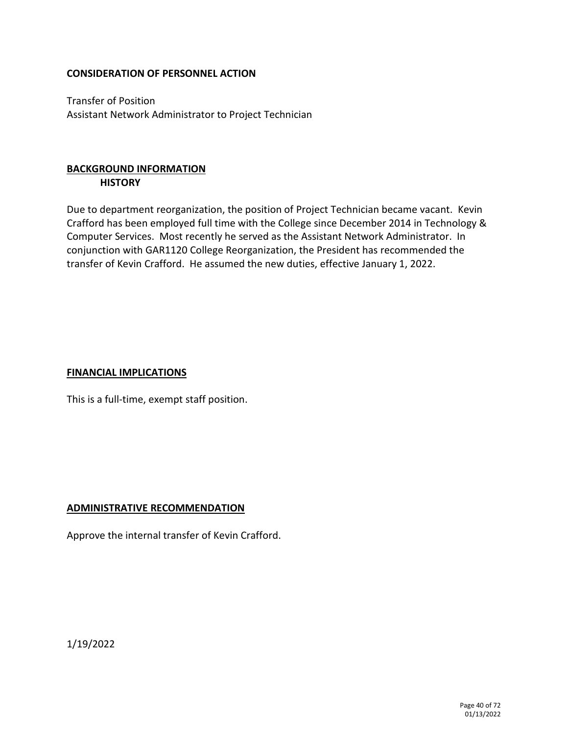Transfer of Position Assistant Network Administrator to Project Technician

# **BACKGROUND INFORMATION HISTORY**

Due to department reorganization, the position of Project Technician became vacant. Kevin Crafford has been employed full time with the College since December 2014 in Technology & Computer Services. Most recently he served as the Assistant Network Administrator. In conjunction with GAR1120 College Reorganization, the President has recommended the transfer of Kevin Crafford. He assumed the new duties, effective January 1, 2022.

#### **FINANCIAL IMPLICATIONS**

This is a full-time, exempt staff position.

#### **ADMINISTRATIVE RECOMMENDATION**

Approve the internal transfer of Kevin Crafford.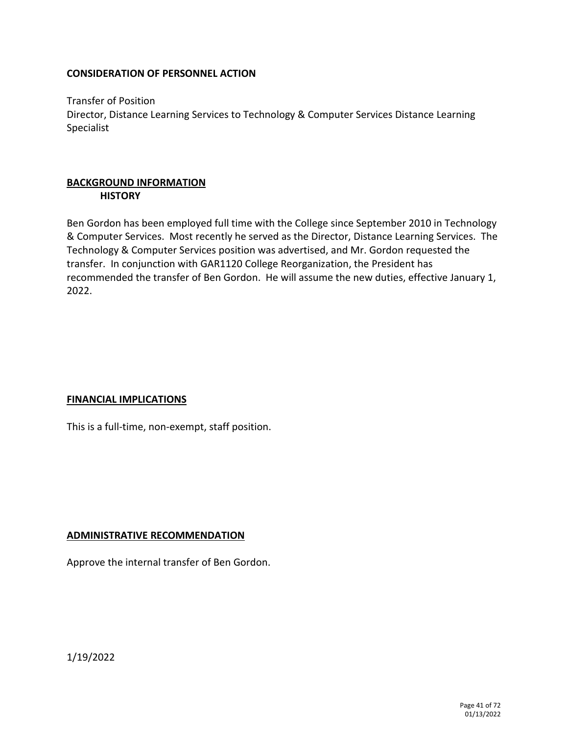Transfer of Position Director, Distance Learning Services to Technology & Computer Services Distance Learning Specialist

#### **BACKGROUND INFORMATION HISTORY**

Ben Gordon has been employed full time with the College since September 2010 in Technology & Computer Services. Most recently he served as the Director, Distance Learning Services. The Technology & Computer Services position was advertised, and Mr. Gordon requested the transfer. In conjunction with GAR1120 College Reorganization, the President has recommended the transfer of Ben Gordon. He will assume the new duties, effective January 1, 2022.

# **FINANCIAL IMPLICATIONS**

This is a full-time, non-exempt, staff position.

#### **ADMINISTRATIVE RECOMMENDATION**

Approve the internal transfer of Ben Gordon.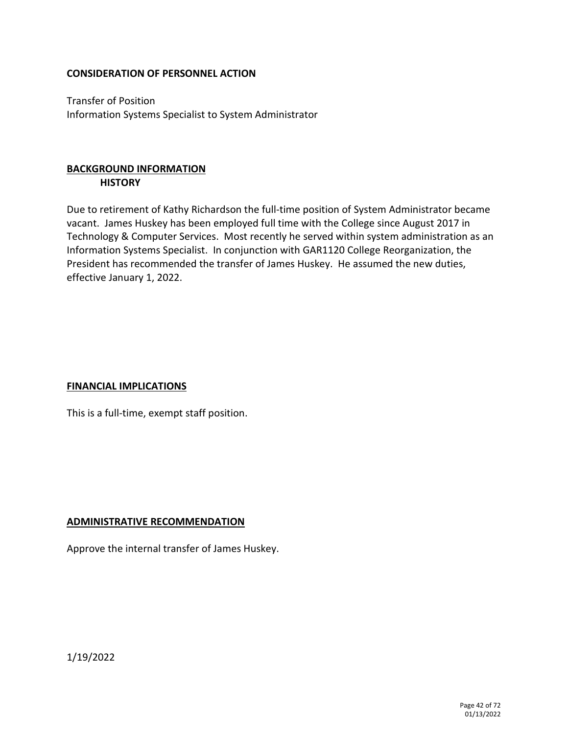Transfer of Position Information Systems Specialist to System Administrator

# **BACKGROUND INFORMATION HISTORY**

Due to retirement of Kathy Richardson the full-time position of System Administrator became vacant. James Huskey has been employed full time with the College since August 2017 in Technology & Computer Services. Most recently he served within system administration as an Information Systems Specialist. In conjunction with GAR1120 College Reorganization, the President has recommended the transfer of James Huskey. He assumed the new duties, effective January 1, 2022.

# **FINANCIAL IMPLICATIONS**

This is a full-time, exempt staff position.

#### **ADMINISTRATIVE RECOMMENDATION**

Approve the internal transfer of James Huskey.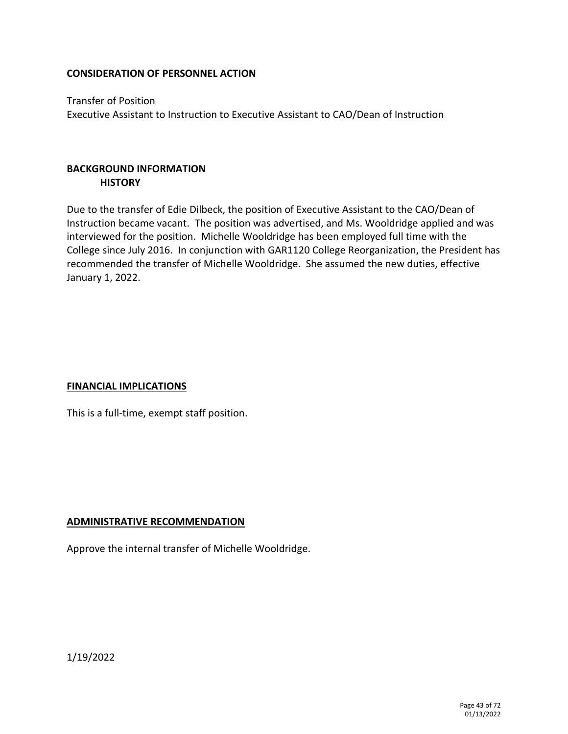Transfer of Position Executive Assistant to Instruction to Executive Assistant to CAO/Dean of Instruction

# **BACKGROUND INFORMATION HISTORY**

Due to the transfer of Edie Dilbeck, the position of Executive Assistant to the CAO/Dean of Instruction became vacant. The position was advertised, and Ms. Wooldridge applied and was interviewed for the position. Michelle Wooldridge has been employed full time with the College since July 2016. In conjunction with GAR1120 College Reorganization, the President has recommended the transfer of Michelle Wooldridge. She assumed the new duties, effective January 1, 2022.

# **FINANCIAL IMPLICATIONS**

This is a full-time, exempt staff position.

#### **ADMINISTRATIVE RECOMMENDATION**

Approve the internal transfer of Michelle Wooldridge.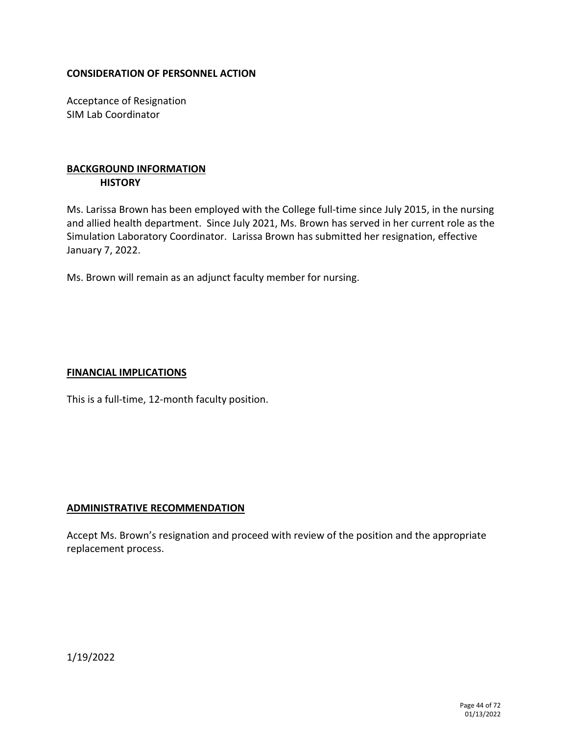Acceptance of Resignation SIM Lab Coordinator

# **BACKGROUND INFORMATION HISTORY**

Ms. Larissa Brown has been employed with the College full-time since July 2015, in the nursing and allied health department. Since July 2021, Ms. Brown has served in her current role as the Simulation Laboratory Coordinator. Larissa Brown has submitted her resignation, effective January 7, 2022.

Ms. Brown will remain as an adjunct faculty member for nursing.

#### **FINANCIAL IMPLICATIONS**

This is a full-time, 12-month faculty position.

#### **ADMINISTRATIVE RECOMMENDATION**

Accept Ms. Brown's resignation and proceed with review of the position and the appropriate replacement process.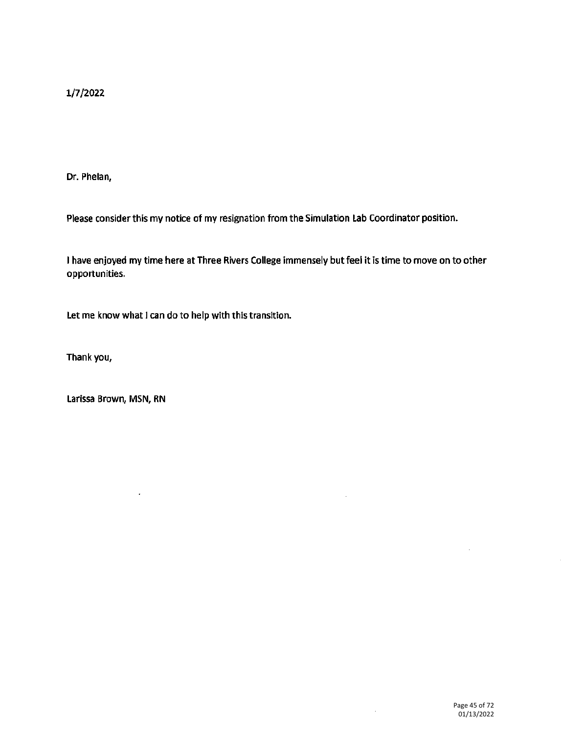1/7/2022

Dr. Phelan,

Please consider this my notice of my resignation from the Simulation Lab Coordinator position.

I have enjoyed my time here at Three Rivers College immensely but feel it is time to move on to other opportunities.

Let me know what I can do to help with this transition.

Thank you,

Larissa Brown, MSN, RN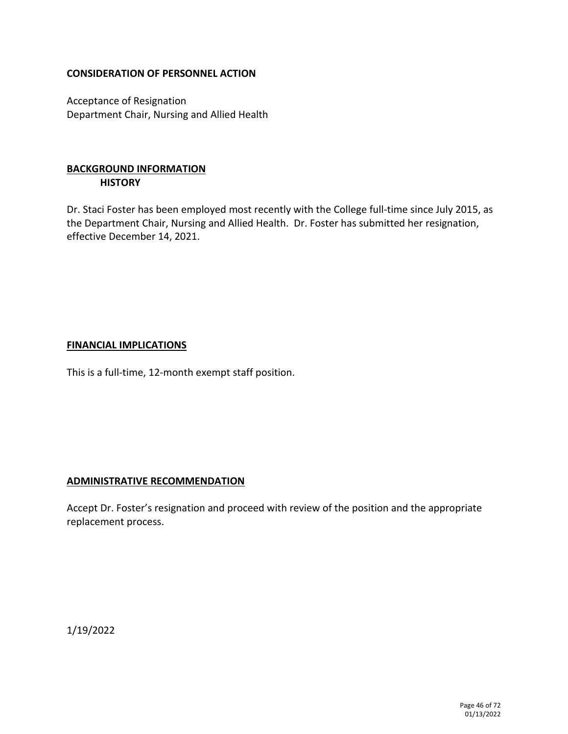Acceptance of Resignation Department Chair, Nursing and Allied Health

# **BACKGROUND INFORMATION HISTORY**

Dr. Staci Foster has been employed most recently with the College full-time since July 2015, as the Department Chair, Nursing and Allied Health. Dr. Foster has submitted her resignation, effective December 14, 2021.

#### **FINANCIAL IMPLICATIONS**

This is a full-time, 12-month exempt staff position.

#### **ADMINISTRATIVE RECOMMENDATION**

Accept Dr. Foster's resignation and proceed with review of the position and the appropriate replacement process.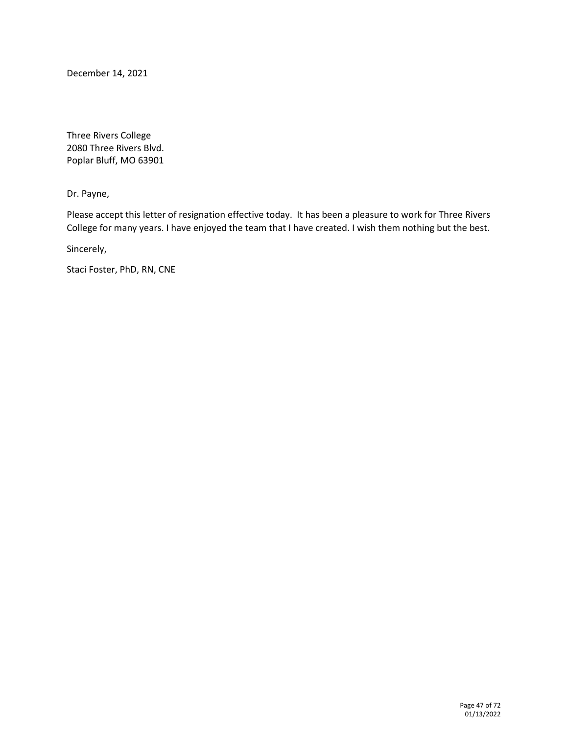December 14, 2021

Three Rivers College 2080 Three Rivers Blvd. Poplar Bluff, MO 63901

Dr. Payne,

Please accept this letter of resignation effective today. It has been a pleasure to work for Three Rivers College for many years. I have enjoyed the team that I have created. I wish them nothing but the best.

Sincerely,

Staci Foster, PhD, RN, CNE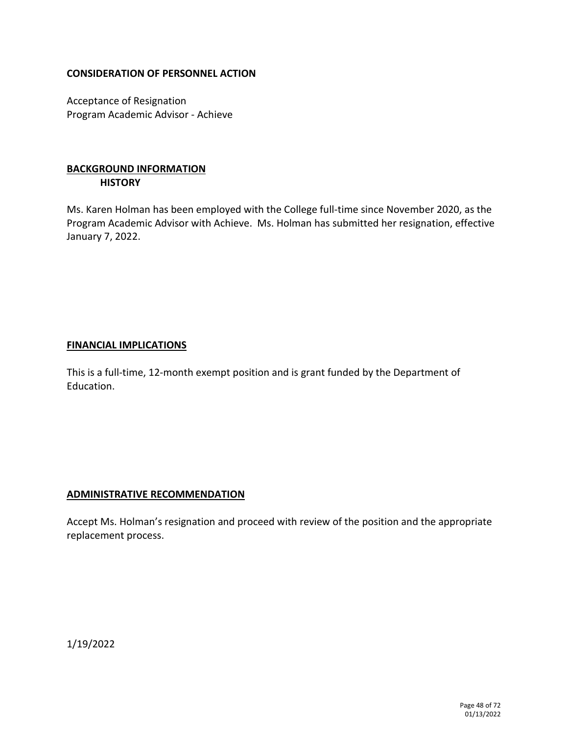Acceptance of Resignation Program Academic Advisor - Achieve

# **BACKGROUND INFORMATION HISTORY**

Ms. Karen Holman has been employed with the College full-time since November 2020, as the Program Academic Advisor with Achieve. Ms. Holman has submitted her resignation, effective January 7, 2022.

#### **FINANCIAL IMPLICATIONS**

This is a full-time, 12-month exempt position and is grant funded by the Department of Education.

#### **ADMINISTRATIVE RECOMMENDATION**

Accept Ms. Holman's resignation and proceed with review of the position and the appropriate replacement process.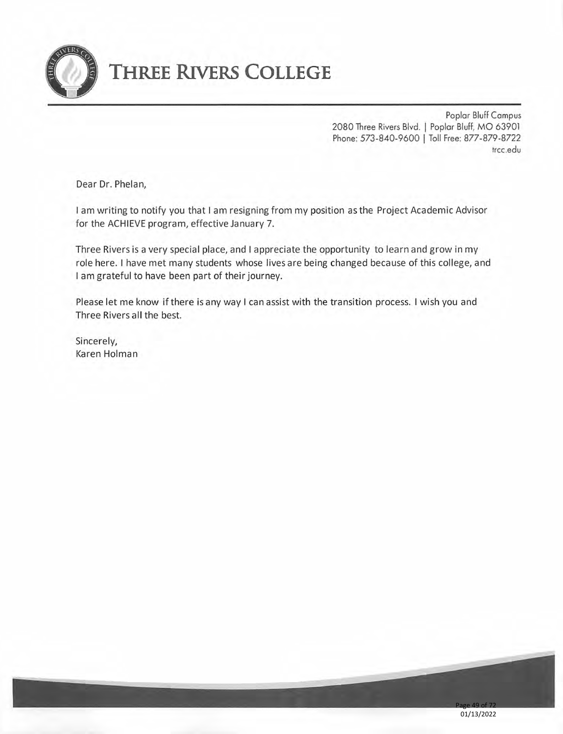

# **THREE RIVERS COLLEGE**

Poplar Bluff Campus 2080 Three Rivers Blvd. | Poplar Bluff, MO 63901 Phone: 573-840-9600 | Toll Free: 877-879-8722 trcc.edu

Dear Dr. Phelan,

I am writing to notify you that I am resigning from my position as the Project Academic Advisor for the ACHIEVE program, effective January 7.

Three Rivers is a very special place, and I appreciate the opportunity to learn and grow in my role here. I have met many students whose lives are being changed because of this college, and I am grateful to have been part of their journey.

Please let me know if there is any way I can assist with the transition process. I wish you and Three Rivers all the best.

Sincerely, Karen Holman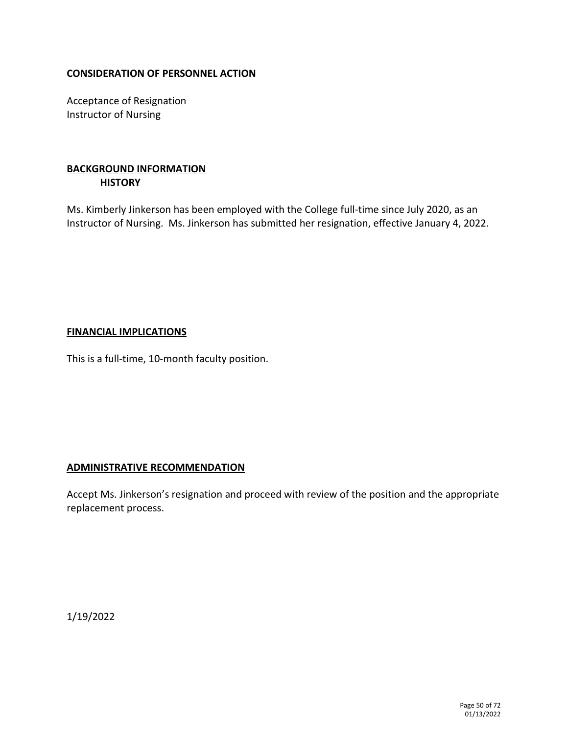Acceptance of Resignation Instructor of Nursing

# **BACKGROUND INFORMATION HISTORY**

Ms. Kimberly Jinkerson has been employed with the College full-time since July 2020, as an Instructor of Nursing. Ms. Jinkerson has submitted her resignation, effective January 4, 2022.

#### **FINANCIAL IMPLICATIONS**

This is a full-time, 10-month faculty position.

#### **ADMINISTRATIVE RECOMMENDATION**

Accept Ms. Jinkerson's resignation and proceed with review of the position and the appropriate replacement process.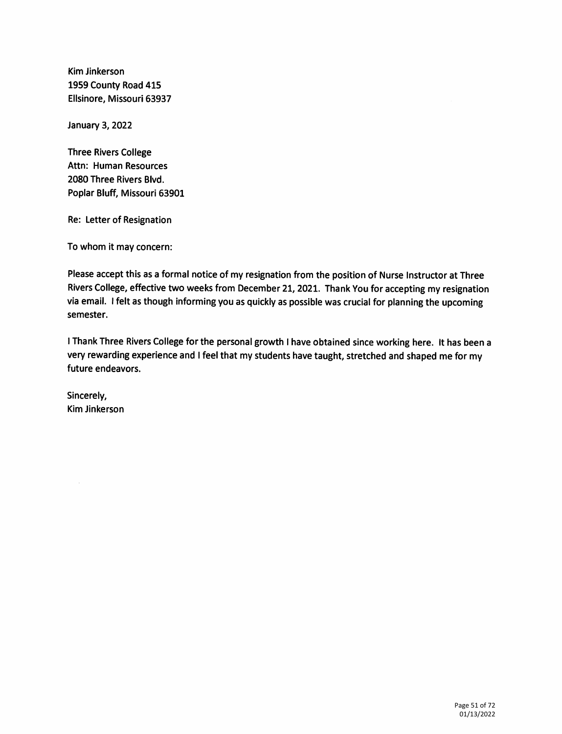Kim Jinkerson 1959 County Road 415 Ellsinore, Missouri 63937

**January 3, 2022** 

**Three Rivers College** Attn: Human Resources 2080 Three Rivers Blvd. Poplar Bluff, Missouri 63901

Re: Letter of Resignation

To whom it may concern:

Please accept this as a formal notice of my resignation from the position of Nurse Instructor at Three Rivers College, effective two weeks from December 21, 2021. Thank You for accepting my resignation via email. I felt as though informing you as quickly as possible was crucial for planning the upcoming semester.

I Thank Three Rivers College for the personal growth I have obtained since working here. It has been a very rewarding experience and I feel that my students have taught, stretched and shaped me for my future endeavors.

Sincerely, **Kim Jinkerson**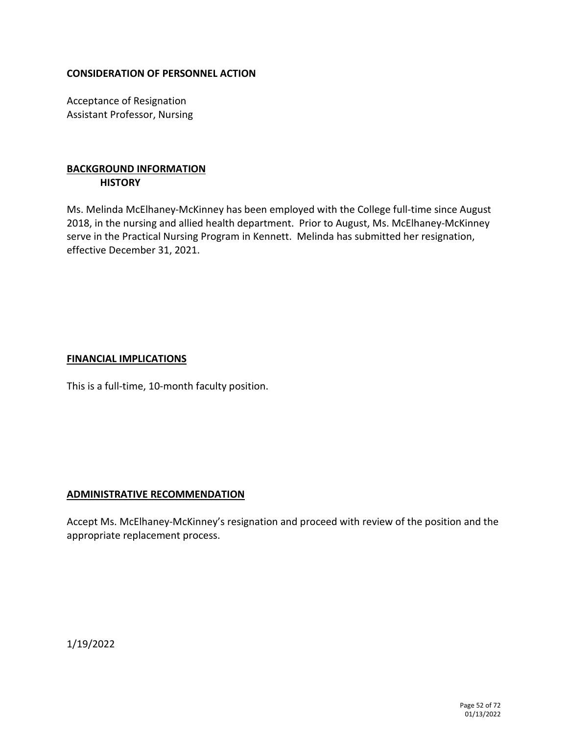Acceptance of Resignation Assistant Professor, Nursing

# **BACKGROUND INFORMATION HISTORY**

Ms. Melinda McElhaney-McKinney has been employed with the College full-time since August 2018, in the nursing and allied health department. Prior to August, Ms. McElhaney-McKinney serve in the Practical Nursing Program in Kennett. Melinda has submitted her resignation, effective December 31, 2021.

#### **FINANCIAL IMPLICATIONS**

This is a full-time, 10-month faculty position.

#### **ADMINISTRATIVE RECOMMENDATION**

Accept Ms. McElhaney-McKinney's resignation and proceed with review of the position and the appropriate replacement process.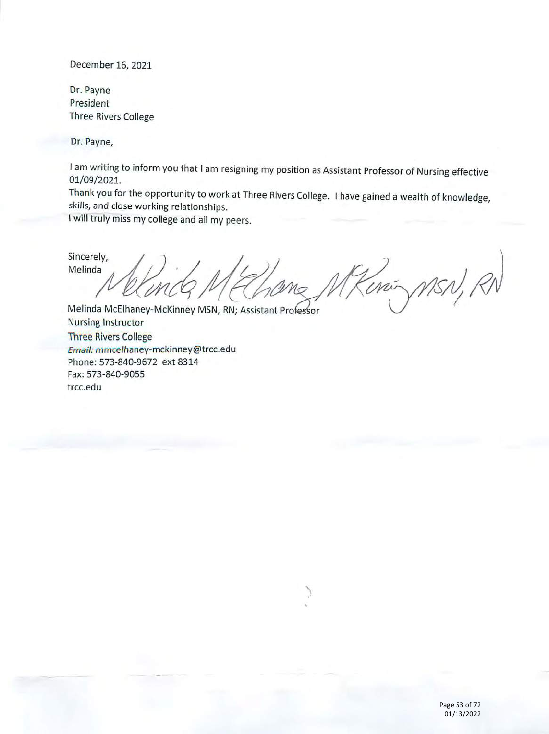December 16, 2021

Dr. Payne President **Three Rivers College** 

Dr. Payne,

I am writing to inform you that I am resigning my position as Assistant Professor of Nursing effective 01/09/2021.

Thank you for the opportunity to work at Three Rivers College. I have gained a wealth of knowledge, skills, and close working relationships.

I will truly miss my college and all my peers.

Sincerely, Melinda 25N, RI mi

Melinda McElhaney-McKinney MSN, RN; Assistant Professor **Nursing Instructor Three Rivers College** Email: mmcelhaney-mckinney@trcc.edu Phone: 573-840-9672 ext 8314 Fax: 573-840-9055 trcc.edu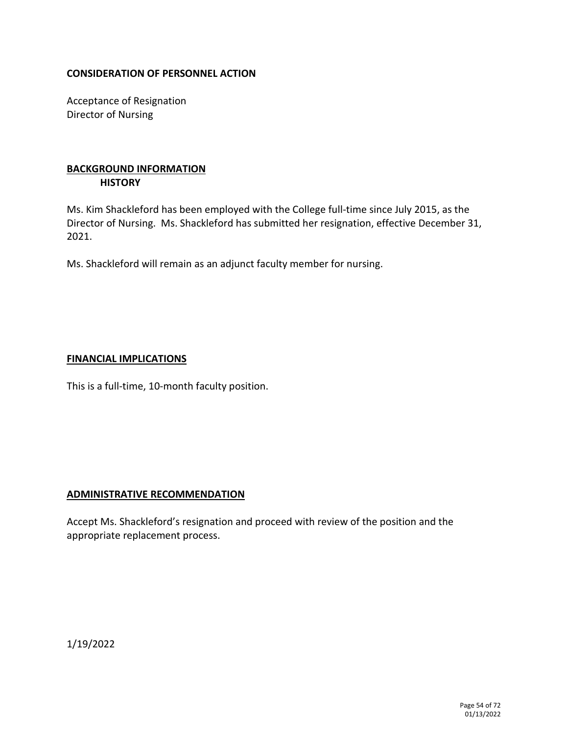Acceptance of Resignation Director of Nursing

# **BACKGROUND INFORMATION HISTORY**

Ms. Kim Shackleford has been employed with the College full-time since July 2015, as the Director of Nursing. Ms. Shackleford has submitted her resignation, effective December 31, 2021.

Ms. Shackleford will remain as an adjunct faculty member for nursing.

#### **FINANCIAL IMPLICATIONS**

This is a full-time, 10-month faculty position.

#### **ADMINISTRATIVE RECOMMENDATION**

Accept Ms. Shackleford's resignation and proceed with review of the position and the appropriate replacement process.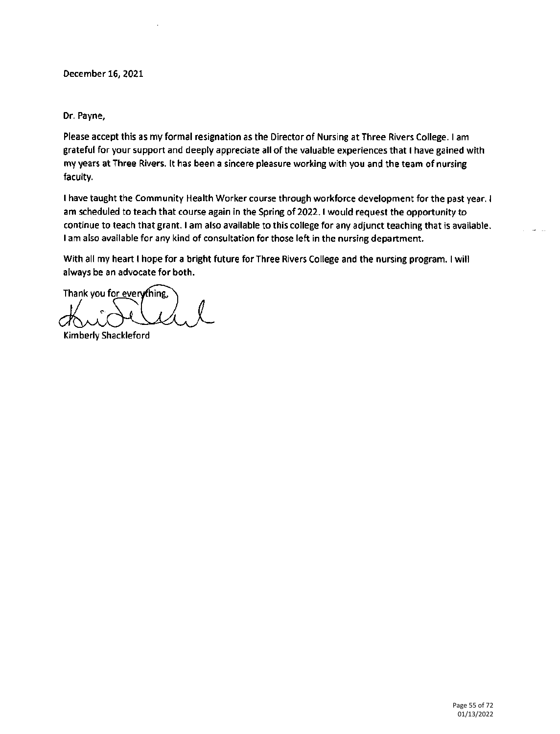December 16, 2021

Dr. Payne,

Please accept this as my formal resignation as the Director of Nursing at Three Rivers College. I am grateful for your support and deeply appreciate all of the valuable experiences that I have gained with my years at Three Rivers. It has been a sincere pleasure working with you and the team of nursing faculty.

I have taught the Community Health Worker course through workforce development for the past year. I am scheduled to teach that course again in the Spring of 2022. I would request the opportunity to continue to teach that grant. I am also available to this college for any adjunct teaching that is available. I am also available for any kind of consultation for those left in the nursing department.

With all my heart I hope for a bright future for Three Rivers College and the nursing program. I will always be an advocate for both.

Thank you for everything,

Kimberly Shackleford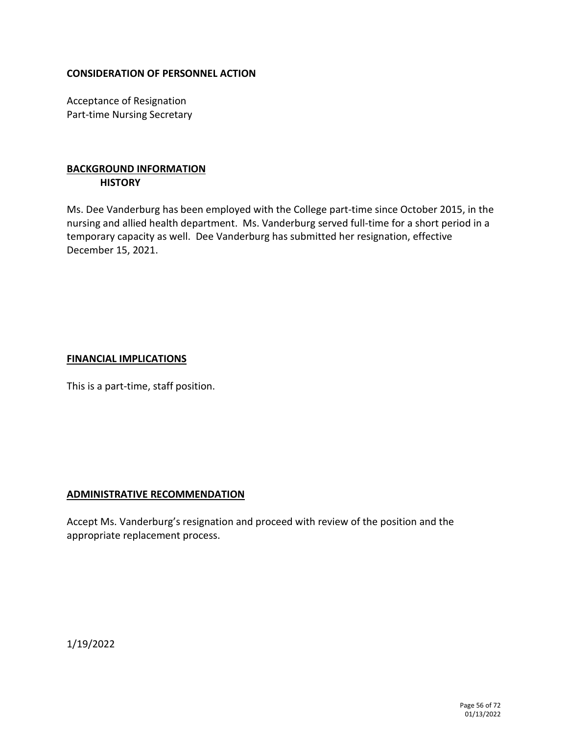Acceptance of Resignation Part-time Nursing Secretary

# **BACKGROUND INFORMATION HISTORY**

Ms. Dee Vanderburg has been employed with the College part-time since October 2015, in the nursing and allied health department. Ms. Vanderburg served full-time for a short period in a temporary capacity as well. Dee Vanderburg has submitted her resignation, effective December 15, 2021.

#### **FINANCIAL IMPLICATIONS**

This is a part-time, staff position.

#### **ADMINISTRATIVE RECOMMENDATION**

Accept Ms. Vanderburg's resignation and proceed with review of the position and the appropriate replacement process.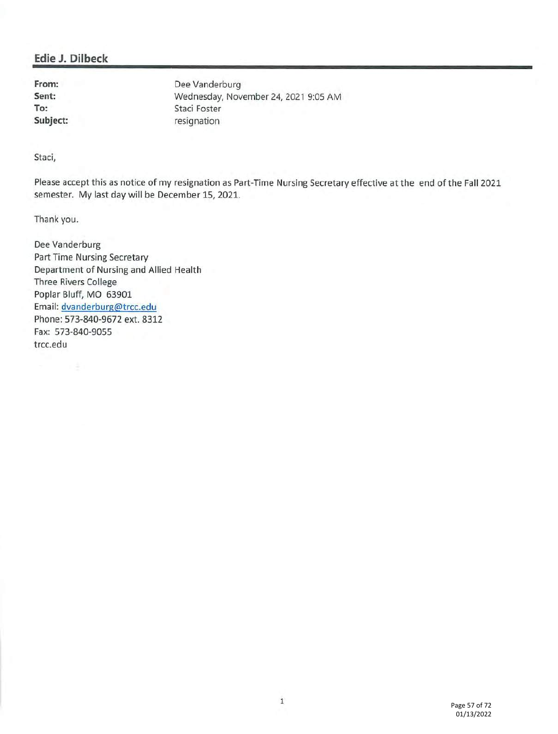#### Edie J. Dilbeck

From: Sent: To: Subject:

Dee Vanderburg Wednesday, November 24, 2021 9:05 AM Staci Foster resignation

Staci,

Please accept this as notice of my resignation as Part-Time Nursing Secretary effective at the end of the Fall 2021 semester. My last day will be December 15, 2021.

Thank you.

Dee Vanderburg **Part Time Nursing Secretary** Department of Nursing and Allied Health **Three Rivers College** Poplar Bluff, MO 63901 Email: dvanderburg@trcc.edu Phone: 573-840-9672 ext. 8312 Fax: 573-840-9055 trcc.edu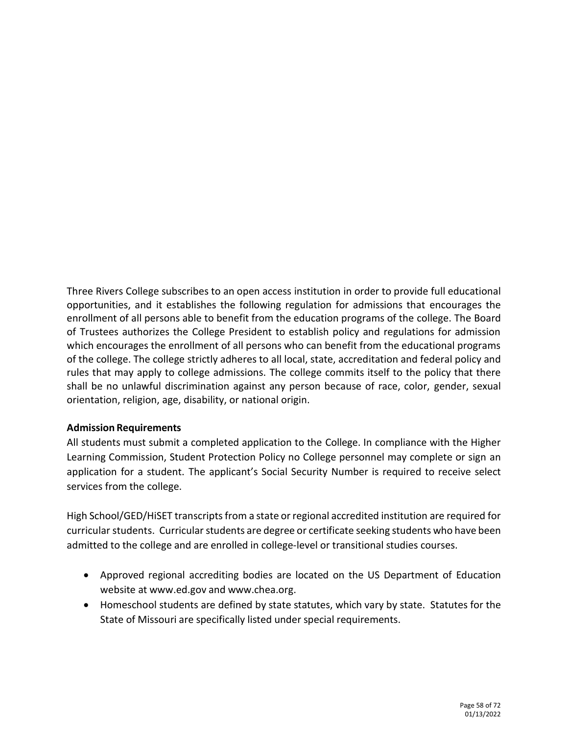Three Rivers College subscribes to an open access institution in order to provide full educational opportunities, and it establishes the following regulation for admissions that encourages the enrollment of all persons able to benefit from the education programs of the college. The Board of Trustees authorizes the College President to establish policy and regulations for admission which encourages the enrollment of all persons who can benefit from the educational programs of the college. The college strictly adheres to all local, state, accreditation and federal policy and rules that may apply to college admissions. The college commits itself to the policy that there shall be no unlawful discrimination against any person because of race, color, gender, sexual orientation, religion, age, disability, or national origin.

#### **Admission Requirements**

All students must submit a completed application to the College. In compliance with the Higher Learning Commission, Student Protection Policy no College personnel may complete or sign an application for a student. The applicant's Social Security Number is required to receive select services from the college.

High School/GED/HiSET transcriptsfrom a state orregional accredited institution are required for curricular students. Curricular students are degree or certificate seeking students who have been admitted to the college and are enrolled in college-level or transitional studies courses.

- Approved regional accrediting bodies are located on the US Department of Education website at [www.ed.gov](http://www.ed.gov/) and [www.chea.org.](http://www.chea.org/)
- Homeschool students are defined by state statutes, which vary by state. Statutes for the State of Missouri are specifically listed under special requirements.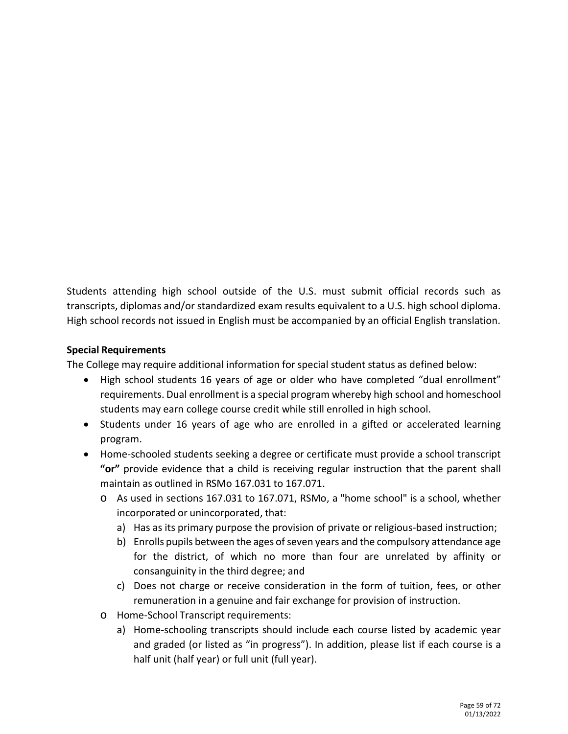Students attending high school outside of the U.S. must submit official records such as transcripts, diplomas and/or standardized exam results equivalent to a U.S. high school diploma. High school records not issued in English must be accompanied by an official English translation.

# **Special Requirements**

The College may require additional information for special student status as defined below:

- High school students 16 years of age or older who have completed "dual enrollment" requirements. Dual enrollment is a special program whereby high school and homeschool students may earn college course credit while still enrolled in high school.
- Students under 16 years of age who are enrolled in a gifted or accelerated learning program.
- Home-schooled students seeking a degree or certificate must provide a school transcript **"or"** provide evidence that a child is receiving regular instruction that the parent shall maintain as outlined in RSMo 167.031 to 167.071.
	- o As used in sections 167.031 to 167.071, RSMo, a "home school" is a school, whether incorporated or unincorporated, that:
		- a) Has as its primary purpose the provision of private or religious-based instruction;
		- b) Enrolls pupils between the ages of seven years and the compulsory attendance age for the district, of which no more than four are unrelated by affinity or consanguinity in the third degree; and
		- c) Does not charge or receive consideration in the form of tuition, fees, or other remuneration in a genuine and fair exchange for provision of instruction.
	- o Home-School Transcript requirements:
		- a) Home-schooling transcripts should include each course listed by academic year and graded (or listed as "in progress"). In addition, please list if each course is a half unit (half year) or full unit (full year).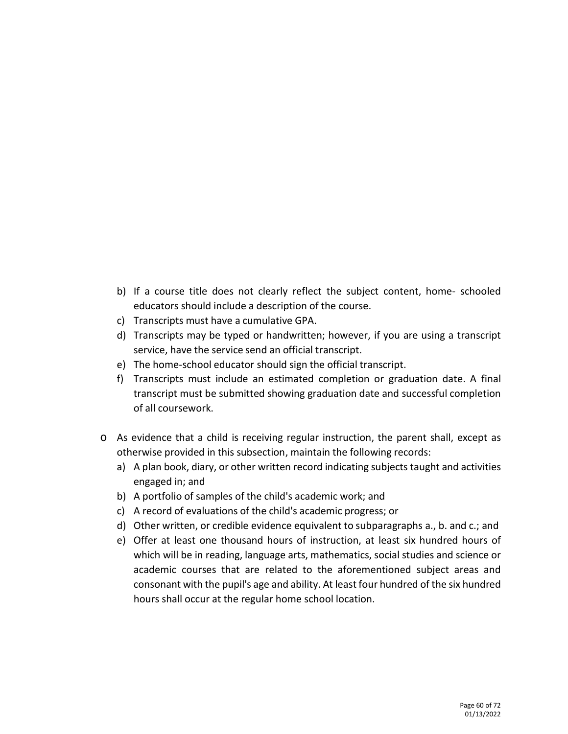- b) If a course title does not clearly reflect the subject content, home- schooled educators should include a description of the course.
- c) Transcripts must have a cumulative GPA.
- d) Transcripts may be typed or handwritten; however, if you are using a transcript service, have the service send an official transcript.
- e) The home-school educator should sign the official transcript.
- f) Transcripts must include an estimated completion or graduation date. A final transcript must be submitted showing graduation date and successful completion of all coursework.
- o As evidence that a child is receiving regular instruction, the parent shall, except as otherwise provided in this subsection, maintain the following records:
	- a) A plan book, diary, or other written record indicating subjects taught and activities engaged in; and
	- b) A portfolio of samples of the child's academic work; and
	- c) A record of evaluations of the child's academic progress; or
	- d) Other written, or credible evidence equivalent to subparagraphs a., b. and c.; and
	- e) Offer at least one thousand hours of instruction, at least six hundred hours of which will be in reading, language arts, mathematics, social studies and science or academic courses that are related to the aforementioned subject areas and consonant with the pupil's age and ability. At least four hundred of the six hundred hours shall occur at the regular home school location.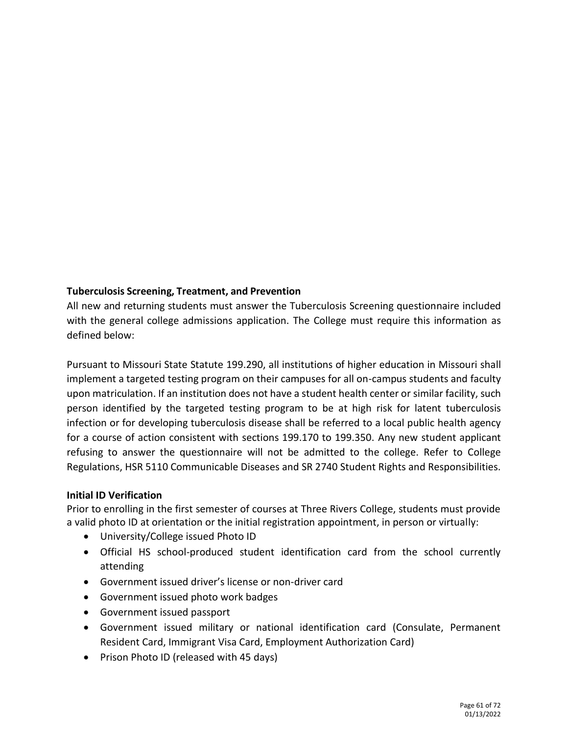# **Tuberculosis Screening, Treatment, and Prevention**

All new and returning students must answer the Tuberculosis Screening questionnaire included with the general college admissions application. The College must require this information as defined below:

Pursuant to Missouri State Statute 199.290, all institutions of higher education in Missouri shall implement a targeted testing program on their campuses for all on-campus students and faculty upon matriculation. If an institution does not have a student health center or similar facility, such person identified by the targeted testing program to be at high risk for latent tuberculosis infection or for developing tuberculosis disease shall be referred to a local public health agency for a course of action consistent with sections 199.170 to 199.350. Any new student applicant refusing to answer the questionnaire will not be admitted to the college. Refer to College Regulations, HSR 5110 Communicable Diseases and SR 2740 Student Rights and Responsibilities.

#### **Initial ID Verification**

Prior to enrolling in the first semester of courses at Three Rivers College, students must provide a valid photo ID at orientation or the initial registration appointment, in person or virtually:

- University/College issued Photo ID
- Official HS school-produced student identification card from the school currently attending
- Government issued driver's license or non-driver card
- Government issued photo work badges
- Government issued passport
- Government issued military or national identification card (Consulate, Permanent Resident Card, Immigrant Visa Card, Employment Authorization Card)
- Prison Photo ID (released with 45 days)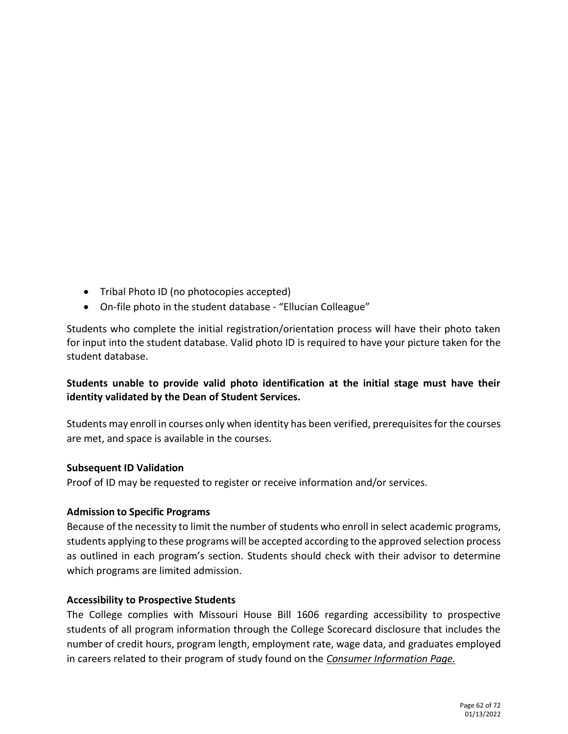- Tribal Photo ID (no photocopies accepted)
- On-file photo in the student database "Ellucian Colleague"

Students who complete the initial registration/orientation process will have their photo taken for input into the student database. Valid photo ID is required to have your picture taken for the student database.

# **Students unable to provide valid photo identification at the initial stage must have their identity validated by the Dean of Student Services.**

Students may enroll in courses only when identity has been verified, prerequisitesfor the courses are met, and space is available in the courses.

#### **Subsequent ID Validation**

Proof of ID may be requested to register or receive information and/or services.

#### **Admission to Specific Programs**

Because of the necessity to limit the number of students who enroll in select academic programs, students applying to these programs will be accepted according to the approved selection process as outlined in each program's section. Students should check with their advisor to determine which programs are limited admission.

#### **Accessibility to Prospective Students**

The College complies with Missouri House Bill 1606 regarding accessibility to prospective students of all program information through the College Scorecard disclosure that includes the number of credit hours, program length, employment rate, wage data, and graduates employed in careers related to their program of study found on the *Consumer Information Page.*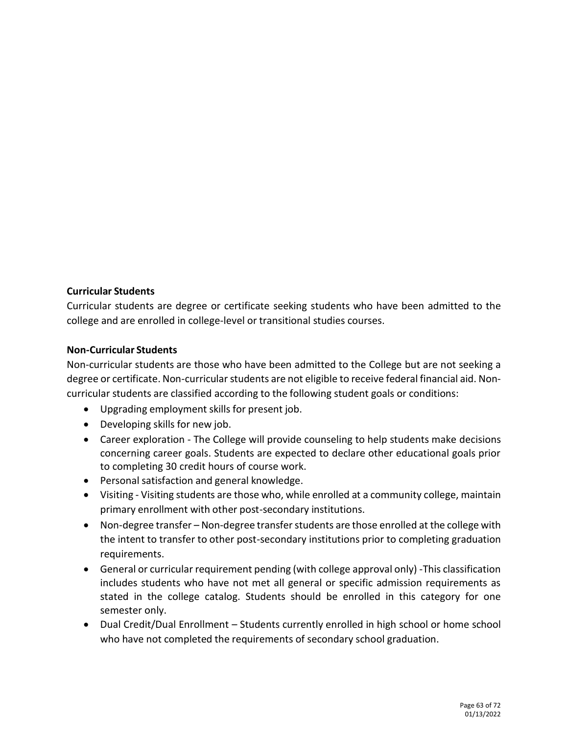#### **Curricular Students**

Curricular students are degree or certificate seeking students who have been admitted to the college and are enrolled in college-level or transitional studies courses.

#### **Non-Curricular Students**

Non-curricular students are those who have been admitted to the College but are not seeking a degree or certificate. Non-curricular students are not eligible to receive federal financial aid. Noncurricular students are classified according to the following student goals or conditions:

- Upgrading employment skills for present job.
- Developing skills for new job.
- Career exploration The College will provide counseling to help students make decisions concerning career goals. Students are expected to declare other educational goals prior to completing 30 credit hours of course work.
- Personal satisfaction and general knowledge.
- Visiting Visiting students are those who, while enrolled at a community college, maintain primary enrollment with other post-secondary institutions.
- Non-degree transfer Non-degree transfer students are those enrolled at the college with the intent to transfer to other post-secondary institutions prior to completing graduation requirements.
- General or curricular requirement pending (with college approval only) -This classification includes students who have not met all general or specific admission requirements as stated in the college catalog. Students should be enrolled in this category for one semester only.
- Dual Credit/Dual Enrollment Students currently enrolled in high school or home school who have not completed the requirements of secondary school graduation.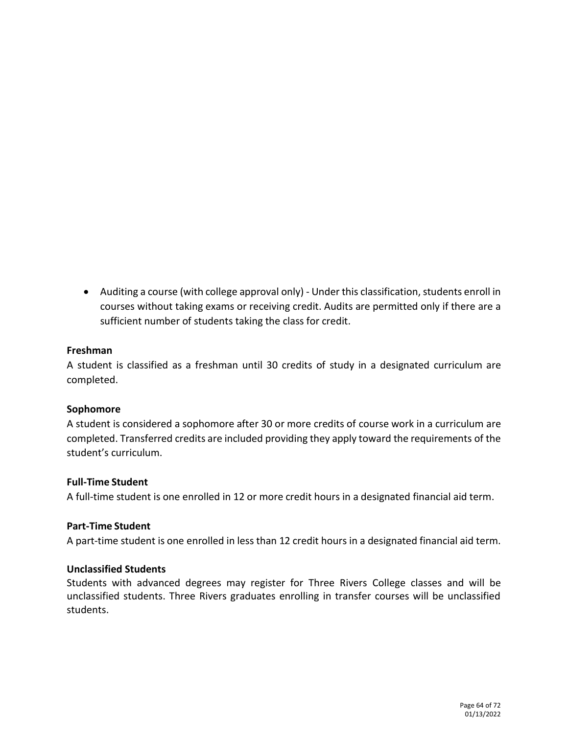• Auditing a course (with college approval only) - Under this classification, students enroll in courses without taking exams or receiving credit. Audits are permitted only if there are a sufficient number of students taking the class for credit.

#### **Freshman**

A student is classified as a freshman until 30 credits of study in a designated curriculum are completed.

# **Sophomore**

A student is considered a sophomore after 30 or more credits of course work in a curriculum are completed. Transferred credits are included providing they apply toward the requirements of the student's curriculum.

#### **Full-Time Student**

A full-time student is one enrolled in 12 or more credit hours in a designated financial aid term.

#### **Part-Time Student**

A part-time student is one enrolled in less than 12 credit hours in a designated financial aid term.

#### **Unclassified Students**

Students with advanced degrees may register for Three Rivers College classes and will be unclassified students. Three Rivers graduates enrolling in transfer courses will be unclassified students.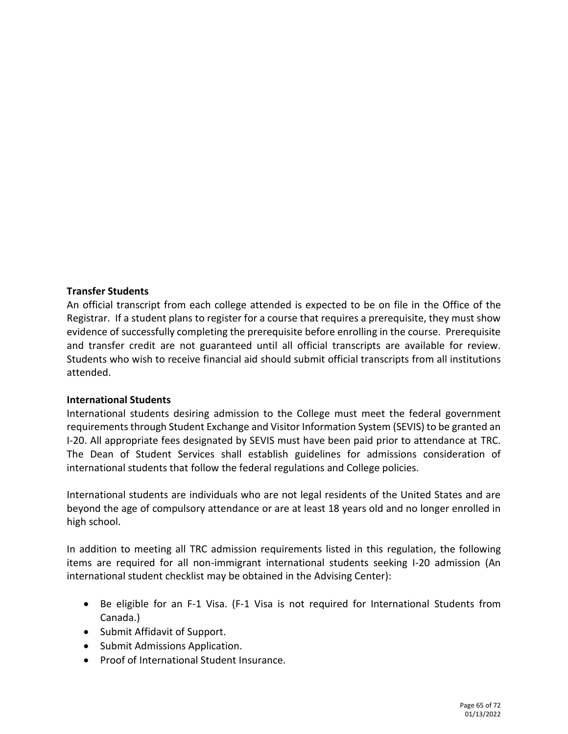#### **Transfer Students**

An official transcript from each college attended is expected to be on file in the Office of the Registrar. If a student plans to register for a course that requires a prerequisite, they must show evidence of successfully completing the prerequisite before enrolling in the course. Prerequisite and transfer credit are not guaranteed until all official transcripts are available for review. Students who wish to receive financial aid should submit official transcripts from all institutions attended.

#### **International Students**

International students desiring admission to the College must meet the federal government requirements through Student Exchange and Visitor Information System (SEVIS) to be granted an I-20. All appropriate fees designated by SEVIS must have been paid prior to attendance at TRC. The Dean of Student Services shall establish guidelines for admissions consideration of international students that follow the federal regulations and College policies.

International students are individuals who are not legal residents of the United States and are beyond the age of compulsory attendance or are at least 18 years old and no longer enrolled in high school.

In addition to meeting all TRC admission requirements listed in this regulation, the following items are required for all non-immigrant international students seeking I-20 admission (An international student checklist may be obtained in the Advising Center):

- Be eligible for an F-1 Visa. (F-1 Visa is not required for International Students from Canada.)
- Submit Affidavit of Support.
- Submit Admissions Application.
- Proof of International Student Insurance.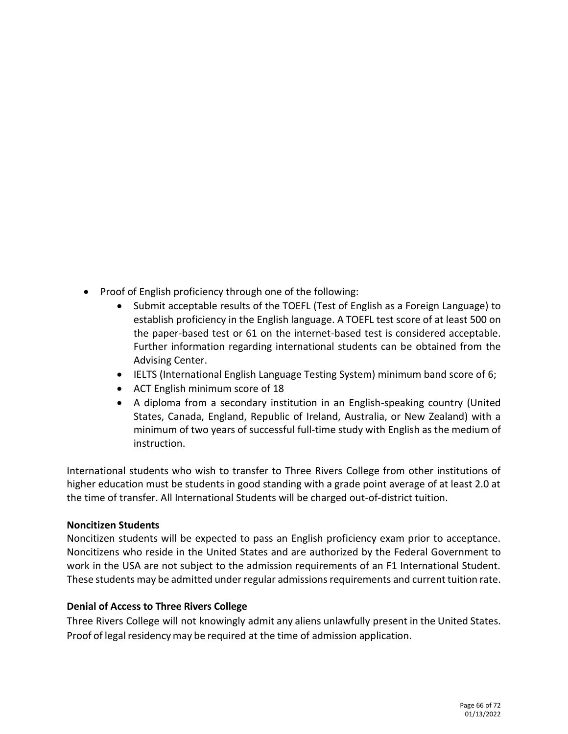- Proof of English proficiency through one of the following:
	- Submit acceptable results of the TOEFL (Test of English as a Foreign Language) to establish proficiency in the English language. A TOEFL test score of at least 500 on the paper-based test or 61 on the internet-based test is considered acceptable. Further information regarding international students can be obtained from the Advising Center.
	- IELTS (International English Language Testing System) minimum band score of 6;
	- ACT English minimum score of 18
	- A diploma from a secondary institution in an English-speaking country (United States, Canada, England, Republic of Ireland, Australia, or New Zealand) with a minimum of two years of successful full-time study with English as the medium of instruction.

International students who wish to transfer to Three Rivers College from other institutions of higher education must be students in good standing with a grade point average of at least 2.0 at the time of transfer. All International Students will be charged out-of-district tuition.

# **Noncitizen Students**

Noncitizen students will be expected to pass an English proficiency exam prior to acceptance. Noncitizens who reside in the United States and are authorized by the Federal Government to work in the USA are not subject to the admission requirements of an F1 International Student. These students may be admitted under regular admissions requirements and current tuition rate.

# **Denial of Access to Three Rivers College**

Three Rivers College will not knowingly admit any aliens unlawfully present in the United States. Proof of legal residency may be required at the time of admission application.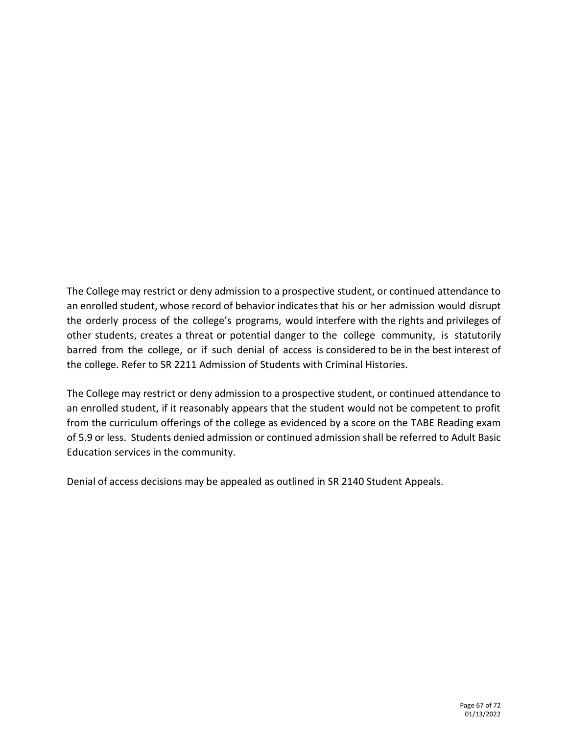The College may restrict or deny admission to a prospective student, or continued attendance to an enrolled student, whose record of behavior indicates that his or her admission would disrupt the orderly process of the college's programs, would interfere with the rights and privileges of other students, creates a threat or potential danger to the college community, is statutorily barred from the college, or if such denial of access is considered to be in the best interest of the college. Refer to SR 2211 Admission of Students with Criminal Histories.

The College may restrict or deny admission to a prospective student, or continued attendance to an enrolled student, if it reasonably appears that the student would not be competent to profit from the curriculum offerings of the college as evidenced by a score on the TABE Reading exam of 5.9 or less. Students denied admission or continued admission shall be referred to Adult Basic Education services in the community.

Denial of access decisions may be appealed as outlined in SR 2140 Student Appeals.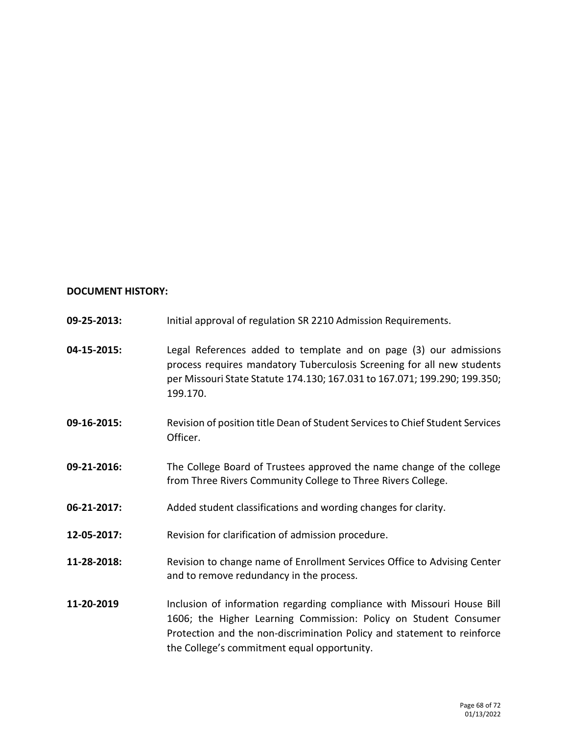# **DOCUMENT HISTORY:**

| 09-25-2013: | Initial approval of regulation SR 2210 Admission Requirements.                                                                                                                                                                                                       |
|-------------|----------------------------------------------------------------------------------------------------------------------------------------------------------------------------------------------------------------------------------------------------------------------|
| 04-15-2015: | Legal References added to template and on page (3) our admissions<br>process requires mandatory Tuberculosis Screening for all new students<br>per Missouri State Statute 174.130; 167.031 to 167.071; 199.290; 199.350;<br>199.170.                                 |
| 09-16-2015: | Revision of position title Dean of Student Services to Chief Student Services<br>Officer.                                                                                                                                                                            |
| 09-21-2016: | The College Board of Trustees approved the name change of the college<br>from Three Rivers Community College to Three Rivers College.                                                                                                                                |
| 06-21-2017: | Added student classifications and wording changes for clarity.                                                                                                                                                                                                       |
| 12-05-2017: | Revision for clarification of admission procedure.                                                                                                                                                                                                                   |
| 11-28-2018: | Revision to change name of Enrollment Services Office to Advising Center<br>and to remove redundancy in the process.                                                                                                                                                 |
| 11-20-2019  | Inclusion of information regarding compliance with Missouri House Bill<br>1606; the Higher Learning Commission: Policy on Student Consumer<br>Protection and the non-discrimination Policy and statement to reinforce<br>the College's commitment equal opportunity. |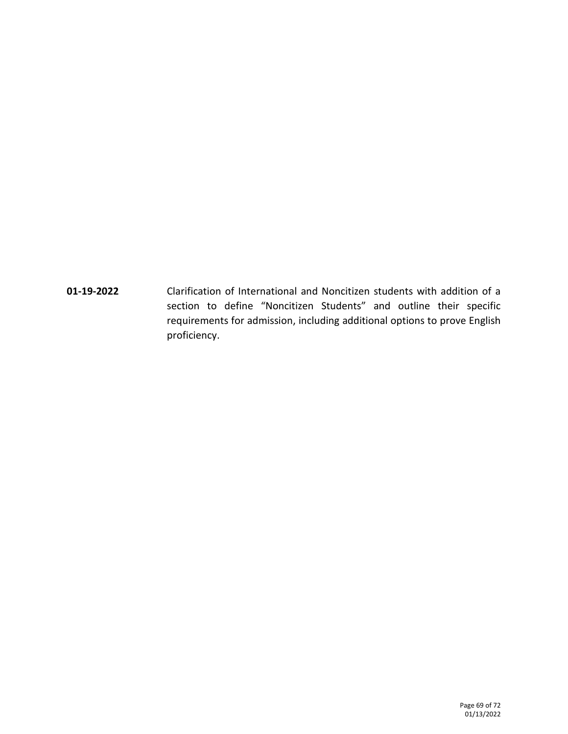**01-19-2022** Clarification of International and Noncitizen students with addition of a section to define "Noncitizen Students" and outline their specific requirements for admission, including additional options to prove English proficiency.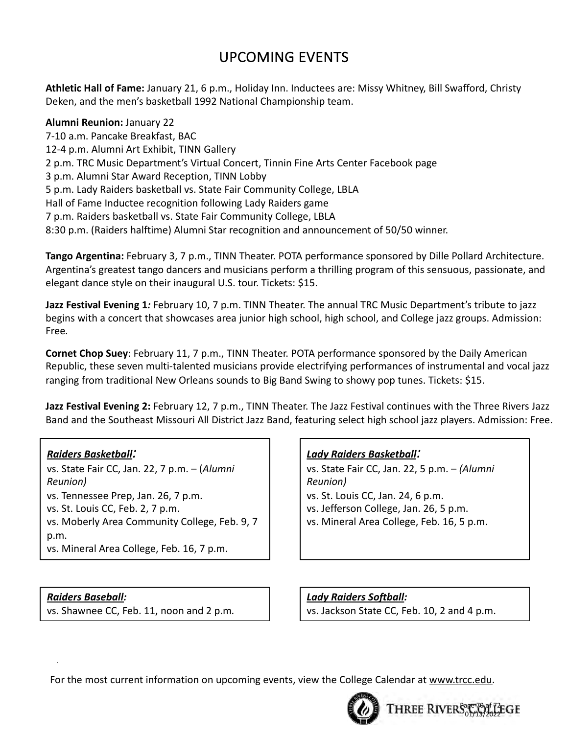# UPCOMING EVENTS

**Athletic Hall of Fame:** January 21, 6 p.m., Holiday Inn. Inductees are: Missy Whitney, Bill Swafford, Christy Deken, and the men's basketball 1992 National Championship team.

**Alumni Reunion:** January 22 7-10 a.m. Pancake Breakfast, BAC 12-4 p.m. Alumni Art Exhibit, TINN Gallery 2 p.m. TRC Music Department's Virtual Concert, Tinnin Fine Arts Center Facebook page 3 p.m. Alumni Star Award Reception, TINN Lobby 5 p.m. Lady Raiders basketball vs. State Fair Community College, LBLA Hall of Fame Inductee recognition following Lady Raiders game 7 p.m. Raiders basketball vs. State Fair Community College, LBLA 8:30 p.m. (Raiders halftime) Alumni Star recognition and announcement of 50/50 winner.

**Tango Argentina:** February 3, 7 p.m., TINN Theater. POTA performance sponsored by Dille Pollard Architecture. Argentina's greatest tango dancers and musicians perform a thrilling program of this sensuous, passionate, and elegant dance style on their inaugural U.S. tour. Tickets: \$15.

**Jazz Festival Evening 1***:* February 10, 7 p.m. TINN Theater. The annual TRC Music Department's tribute to jazz begins with a concert that showcases area junior high school, high school, and College jazz groups. Admission: Free*.*

**Cornet Chop Suey**: February 11, 7 p.m., TINN Theater. POTA performance sponsored by the Daily American Republic, these seven multi-talented musicians provide electrifying performances of instrumental and vocal jazz ranging from traditional New Orleans sounds to Big Band Swing to showy pop tunes. Tickets: \$15.

**Jazz Festival Evening 2:** February 12, 7 p.m., TINN Theater. The Jazz Festival continues with the Three Rivers Jazz Band and the Southeast Missouri All District Jazz Band, featuring select high school jazz players. Admission: Free.

# *Raiders Basketball:*

vs. State Fair CC, Jan. 22, 7 p.m. – (*Alumni Reunion)* vs. Tennessee Prep, Jan. 26, 7 p.m. vs. St. Louis CC, Feb. 2, 7 p.m. vs. Moberly Area Community College, Feb. 9, 7 p.m. vs. Mineral Area College, Feb. 16, 7 p.m.

# *Raiders Baseball:*

.

vs. Shawnee CC, Feb. 11, noon and 2 p.m*.*

# *Lady Raiders Basketball:*

vs. State Fair CC, Jan. 22, 5 p.m. – *(Alumni Reunion)* vs. St. Louis CC, Jan. 24, 6 p.m. vs. Jefferson College, Jan. 26, 5 p.m. vs. Mineral Area College, Feb. 16, 5 p.m.

*Lady Raiders Softball:* vs. Jackson State CC, Feb. 10, 2 and 4 p.m.

> Page 70 of 72 01/13/2022

For the most current information on upcoming events, view the College Calendar at www.trcc.edu.

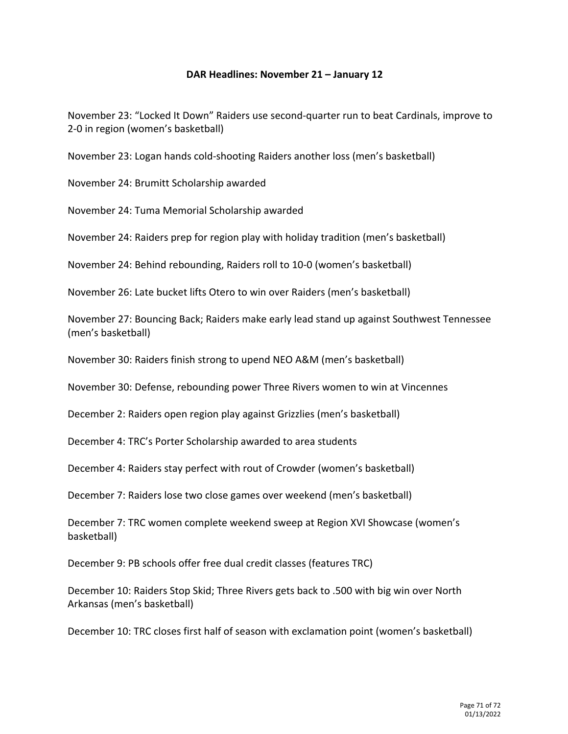#### **DAR Headlines: November 21 – January 12**

November 23: "Locked It Down" Raiders use second-quarter run to beat Cardinals, improve to 2-0 in region (women's basketball)

November 23: Logan hands cold-shooting Raiders another loss (men's basketball)

November 24: Brumitt Scholarship awarded

November 24: Tuma Memorial Scholarship awarded

November 24: Raiders prep for region play with holiday tradition (men's basketball)

November 24: Behind rebounding, Raiders roll to 10-0 (women's basketball)

November 26: Late bucket lifts Otero to win over Raiders (men's basketball)

November 27: Bouncing Back; Raiders make early lead stand up against Southwest Tennessee (men's basketball)

November 30: Raiders finish strong to upend NEO A&M (men's basketball)

November 30: Defense, rebounding power Three Rivers women to win at Vincennes

December 2: Raiders open region play against Grizzlies (men's basketball)

December 4: TRC's Porter Scholarship awarded to area students

December 4: Raiders stay perfect with rout of Crowder (women's basketball)

December 7: Raiders lose two close games over weekend (men's basketball)

December 7: TRC women complete weekend sweep at Region XVI Showcase (women's basketball)

December 9: PB schools offer free dual credit classes (features TRC)

December 10: Raiders Stop Skid; Three Rivers gets back to .500 with big win over North Arkansas (men's basketball)

December 10: TRC closes first half of season with exclamation point (women's basketball)